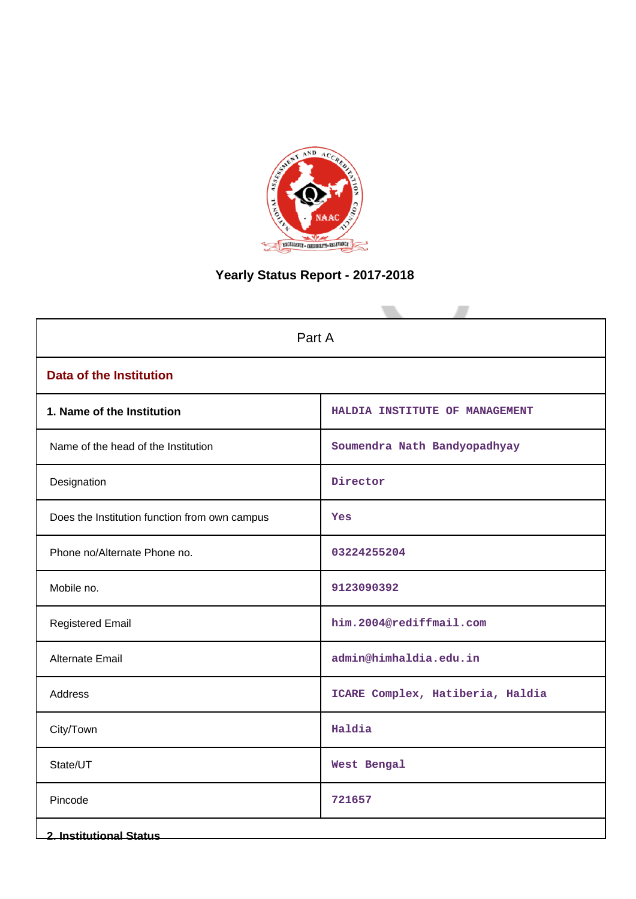

# **Yearly Status Report - 2017-2018**

| Part A                                        |                                  |  |  |
|-----------------------------------------------|----------------------------------|--|--|
| <b>Data of the Institution</b>                |                                  |  |  |
| 1. Name of the Institution                    | HALDIA INSTITUTE OF MANAGEMENT   |  |  |
| Name of the head of the Institution           | Soumendra Nath Bandyopadhyay     |  |  |
| Designation                                   | Director                         |  |  |
| Does the Institution function from own campus | Yes                              |  |  |
| Phone no/Alternate Phone no.                  | 03224255204                      |  |  |
| Mobile no.                                    | 9123090392                       |  |  |
| <b>Registered Email</b>                       | him.2004@rediffmail.com          |  |  |
| <b>Alternate Email</b>                        | admin@himhaldia.edu.in           |  |  |
| Address                                       | ICARE Complex, Hatiberia, Haldia |  |  |
| City/Town                                     | Haldia                           |  |  |
| State/UT                                      | West Bengal                      |  |  |
| Pincode                                       | 721657                           |  |  |
| <b>2. Institutional Status</b>                |                                  |  |  |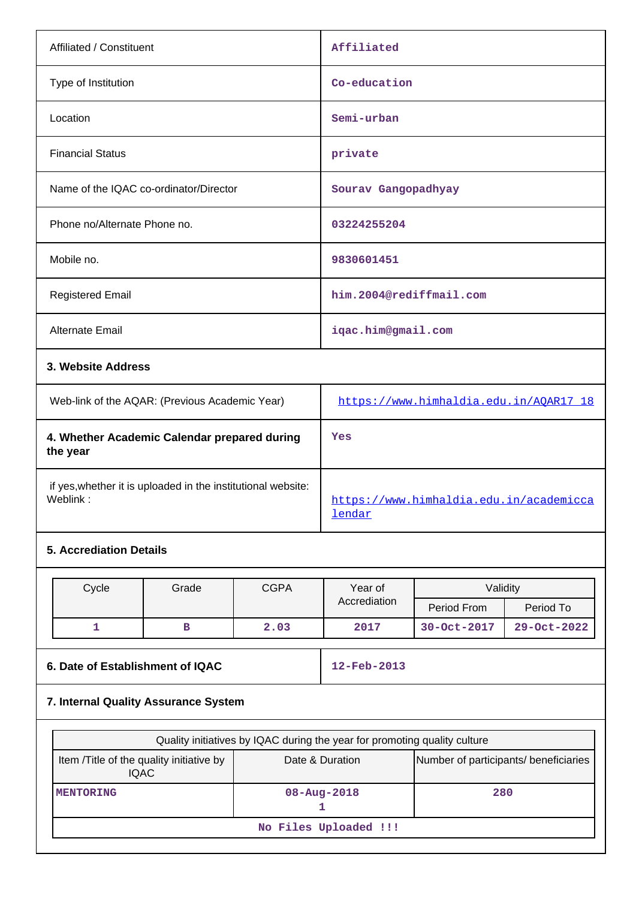| Affiliated / Constituent               | Affiliated                                                                                             |
|----------------------------------------|--------------------------------------------------------------------------------------------------------|
| Type of Institution                    | Co-education                                                                                           |
| Location                               | Semi-urban                                                                                             |
| <b>Financial Status</b>                | private                                                                                                |
| Name of the IQAC co-ordinator/Director | Sourav Gangopadhyay                                                                                    |
| Phone no/Alternate Phone no.           | 03224255204                                                                                            |
| Mobile no.                             | 9830601451                                                                                             |
| <b>Registered Email</b>                | him.2004@rediffmail.com                                                                                |
| Alternate Email                        | iqac.him@gmail.com                                                                                     |
| 3. Website Address                     |                                                                                                        |
|                                        | $1.11 - 1.6$ $(1)$ $1.1 - 1.1$ $1.1 - 1.1$ $1.1 - 1.1$ $1.1 - 1.1$ $1.1 - 1.1$ $1.1 - 1.1$ $1.1 - 1.1$ |

| Web-link of the AQAR: (Previous Academic Year)                           | https://www.himhaldia.edu.in/AOAR17 18            |
|--------------------------------------------------------------------------|---------------------------------------------------|
| 4. Whether Academic Calendar prepared during<br>the year                 | Yes                                               |
| if yes, whether it is uploaded in the institutional website:<br>Weblink: | https://www.himhaldia.edu.in/academicca<br>lendar |

# **5. Accrediation Details**

| Cycle | <b>CGPA</b><br>Grade |      | Year of      | Validity    |             |
|-------|----------------------|------|--------------|-------------|-------------|
|       |                      |      | Accrediation | Period From | Period To   |
|       |                      | 2.03 | 2017         | 30-Oct-2017 | 29-Oct-2022 |

# **6. Date of Establishment of IQAC 12-Feb-2013**

# **7. Internal Quality Assurance System**

| Quality initiatives by IQAC during the year for promoting quality culture |                                                          |     |  |  |
|---------------------------------------------------------------------------|----------------------------------------------------------|-----|--|--|
| Item / Title of the quality initiative by<br><b>IQAC</b>                  | Number of participants/ beneficiaries<br>Date & Duration |     |  |  |
| <b>MENTORING</b>                                                          | $08 - Aug - 2018$                                        | 280 |  |  |
| No Files Uploaded !!!                                                     |                                                          |     |  |  |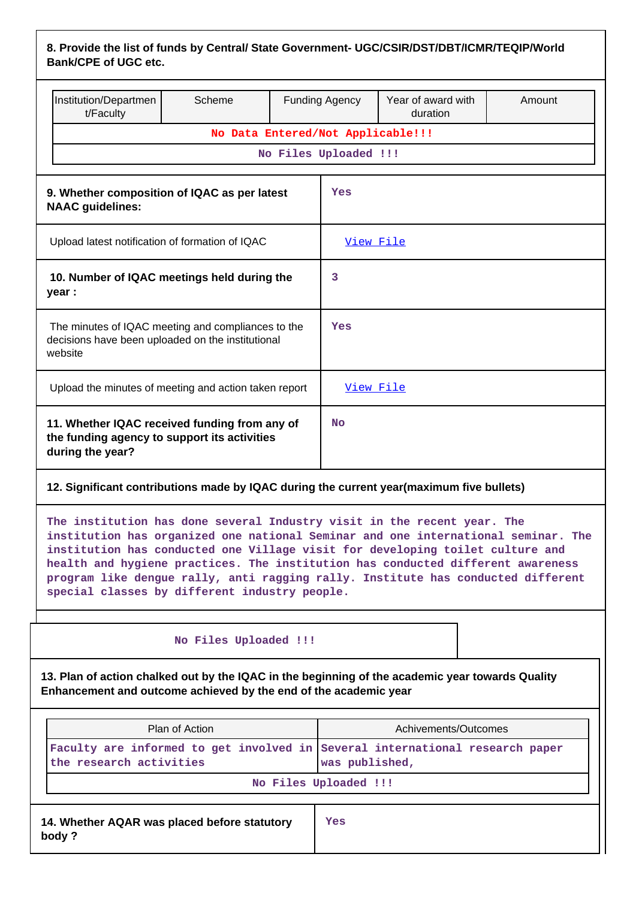| 8. Provide the list of funds by Central/ State Government- UGC/CSIR/DST/DBT/ICMR/TEQIP/World |  |
|----------------------------------------------------------------------------------------------|--|
| <b>Bank/CPE of UGC etc.</b>                                                                  |  |

|                                                                                                                    | Institution/Departmen<br>t/Faculty                                                                                | Scheme |           | <b>Funding Agency</b>             | Year of award with<br>duration | Amount |
|--------------------------------------------------------------------------------------------------------------------|-------------------------------------------------------------------------------------------------------------------|--------|-----------|-----------------------------------|--------------------------------|--------|
|                                                                                                                    |                                                                                                                   |        |           | No Data Entered/Not Applicable!!! |                                |        |
|                                                                                                                    |                                                                                                                   |        |           | No Files Uploaded !!!             |                                |        |
|                                                                                                                    |                                                                                                                   |        |           |                                   |                                |        |
| 9. Whether composition of IQAC as per latest<br><b>NAAC</b> guidelines:                                            |                                                                                                                   |        |           | Yes                               |                                |        |
|                                                                                                                    | Upload latest notification of formation of IQAC                                                                   |        |           | View File                         |                                |        |
| 10. Number of IQAC meetings held during the<br>year :                                                              |                                                                                                                   |        | 3         |                                   |                                |        |
| The minutes of IQAC meeting and compliances to the<br>decisions have been uploaded on the institutional<br>website |                                                                                                                   |        | Yes       |                                   |                                |        |
| Upload the minutes of meeting and action taken report                                                              |                                                                                                                   |        | View File |                                   |                                |        |
|                                                                                                                    | 11. Whether IQAC received funding from any of<br>the funding agency to support its activities<br>during the year? |        |           | <b>No</b>                         |                                |        |
| 12. Significant contributions made by $\mathsf{IMC}$ during the current vear(maximum five bullets)                 |                                                                                                                   |        |           |                                   |                                |        |

# **12. Significant contributions made by IQAC during the current year(maximum five bullets)**

**The institution has done several Industry visit in the recent year. The institution has organized one national Seminar and one international seminar. The institution has conducted one Village visit for developing toilet culture and health and hygiene practices. The institution has conducted different awareness program like dengue rally, anti ragging rally. Institute has conducted different special classes by different industry people.**

## **No Files Uploaded !!!**

**13. Plan of action chalked out by the IQAC in the beginning of the academic year towards Quality Enhancement and outcome achieved by the end of the academic year**

| Plan of Action                                                                                          | Achivements/Outcomes |  |
|---------------------------------------------------------------------------------------------------------|----------------------|--|
| Faculty are informed to get involved in Several international research paper<br>the research activities | was published,       |  |
| No Files Uploaded !!!                                                                                   |                      |  |
| 14. Whether AQAR was placed before statutory<br>body?                                                   | Yes                  |  |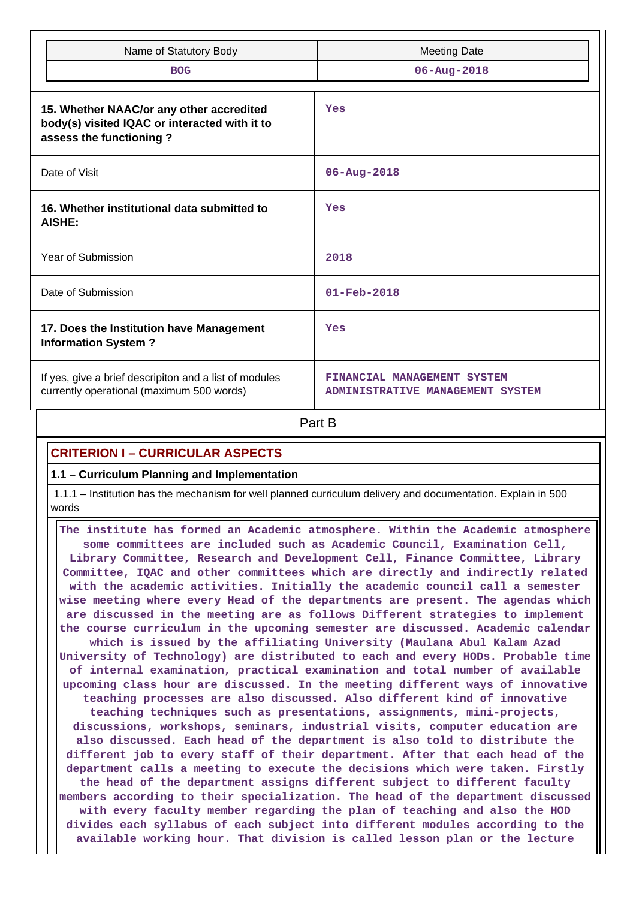| Name of Statutory Body                                                                                               | <b>Meeting Date</b>                                             |
|----------------------------------------------------------------------------------------------------------------------|-----------------------------------------------------------------|
| <b>BOG</b>                                                                                                           | $06 - Aug - 2018$                                               |
| 15. Whether NAAC/or any other accredited<br>body(s) visited IQAC or interacted with it to<br>assess the functioning? | Yes                                                             |
| Date of Visit                                                                                                        | $06 - Aug - 2018$                                               |
| 16. Whether institutional data submitted to<br>AISHE:                                                                | Yes                                                             |
| Year of Submission                                                                                                   | 2018                                                            |
| Date of Submission                                                                                                   | $01 - Feb - 2018$                                               |
| 17. Does the Institution have Management<br><b>Information System?</b>                                               | Yes                                                             |
| If yes, give a brief descripiton and a list of modules<br>currently operational (maximum 500 words)                  | FINANCIAL MANAGEMENT SYSTEM<br>ADMINISTRATIVE MANAGEMENT SYSTEM |

**Part B** 

# **CRITERION I – CURRICULAR ASPECTS**

#### **1.1 – Curriculum Planning and Implementation**

 1.1.1 – Institution has the mechanism for well planned curriculum delivery and documentation. Explain in 500 words

 **The institute has formed an Academic atmosphere. Within the Academic atmosphere some committees are included such as Academic Council, Examination Cell, Library Committee, Research and Development Cell, Finance Committee, Library Committee, IQAC and other committees which are directly and indirectly related with the academic activities. Initially the academic council call a semester wise meeting where every Head of the departments are present. The agendas which are discussed in the meeting are as follows Different strategies to implement the course curriculum in the upcoming semester are discussed. Academic calendar which is issued by the affiliating University (Maulana Abul Kalam Azad University of Technology) are distributed to each and every HODs. Probable time of internal examination, practical examination and total number of available upcoming class hour are discussed. In the meeting different ways of innovative teaching processes are also discussed. Also different kind of innovative teaching techniques such as presentations, assignments, mini-projects, discussions, workshops, seminars, industrial visits, computer education are also discussed. Each head of the department is also told to distribute the different job to every staff of their department. After that each head of the department calls a meeting to execute the decisions which were taken. Firstly the head of the department assigns different subject to different faculty members according to their specialization. The head of the department discussed with every faculty member regarding the plan of teaching and also the HOD divides each syllabus of each subject into different modules according to the available working hour. That division is called lesson plan or the lecture**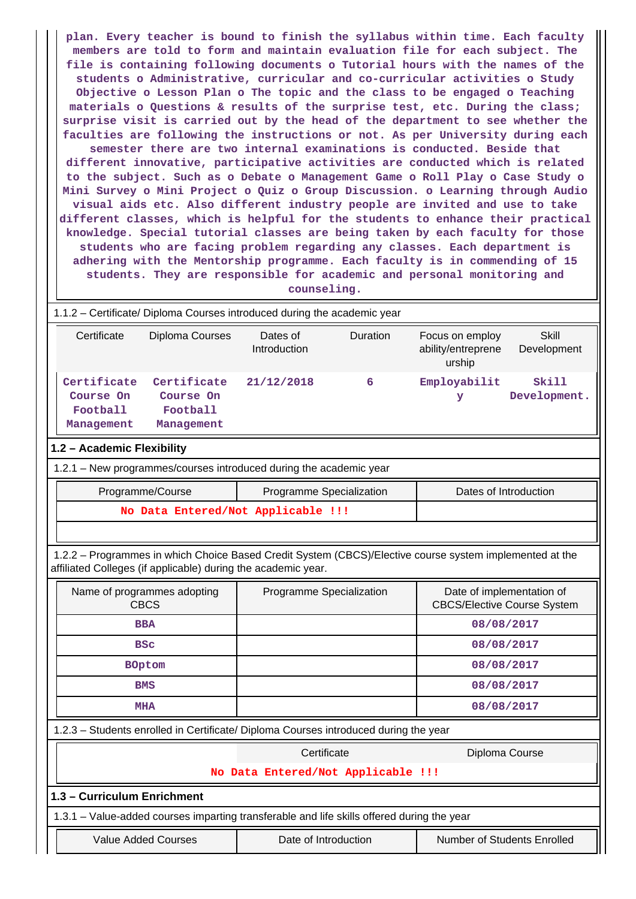**plan. Every teacher is bound to finish the syllabus within time. Each faculty members are told to form and maintain evaluation file for each subject. The file is containing following documents o Tutorial hours with the names of the students o Administrative, curricular and co-curricular activities o Study Objective o Lesson Plan o The topic and the class to be engaged o Teaching materials o Questions & results of the surprise test, etc. During the class; surprise visit is carried out by the head of the department to see whether the faculties are following the instructions or not. As per University during each semester there are two internal examinations is conducted. Beside that different innovative, participative activities are conducted which is related to the subject. Such as o Debate o Management Game o Roll Play o Case Study o Mini Survey o Mini Project o Quiz o Group Discussion. o Learning through Audio visual aids etc. Also different industry people are invited and use to take different classes, which is helpful for the students to enhance their practical knowledge. Special tutorial classes are being taken by each faculty for those students who are facing problem regarding any classes. Each department is adhering with the Mentorship programme. Each faculty is in commending of 15 students. They are responsible for academic and personal monitoring and counseling.**

1.1.2 – Certificate/ Diploma Courses introduced during the academic year

| Certificate                                        | Diploma Courses                                    | Dates of<br>Introduction | <b>Duration</b> | Focus on employ<br>ability/entreprene<br>urship | Skill<br>Development  |
|----------------------------------------------------|----------------------------------------------------|--------------------------|-----------------|-------------------------------------------------|-----------------------|
| Certificate<br>Course On<br>Football<br>Management | Certificate<br>Course On<br>Football<br>Management | 21/12/2018               | 6               | Employabilit<br>У                               | Skill<br>Development. |

#### **1.2 – Academic Flexibility**

1.2.1 – New programmes/courses introduced during the academic year

| Programme/Course                   | Programme Specialization | Dates of Introduction |
|------------------------------------|--------------------------|-----------------------|
| No Data Entered/Not Applicable !!! |                          |                       |

 1.2.2 – Programmes in which Choice Based Credit System (CBCS)/Elective course system implemented at the affiliated Colleges (if applicable) during the academic year.

| Name of programmes adopting<br><b>CBCS</b>                                           | Programme Specialization                                                                   | Date of implementation of<br><b>CBCS/Elective Course System</b> |  |  |
|--------------------------------------------------------------------------------------|--------------------------------------------------------------------------------------------|-----------------------------------------------------------------|--|--|
| <b>BBA</b>                                                                           |                                                                                            | 08/08/2017                                                      |  |  |
| <b>BSC</b>                                                                           |                                                                                            | 08/08/2017                                                      |  |  |
| <b>BOptom</b>                                                                        |                                                                                            | 08/08/2017                                                      |  |  |
| <b>BMS</b>                                                                           |                                                                                            | 08/08/2017                                                      |  |  |
| <b>MHA</b>                                                                           |                                                                                            | 08/08/2017                                                      |  |  |
| 1.2.3 - Students enrolled in Certificate/ Diploma Courses introduced during the year |                                                                                            |                                                                 |  |  |
|                                                                                      | Certificate                                                                                | Diploma Course                                                  |  |  |
| No Data Entered/Not Applicable !!!                                                   |                                                                                            |                                                                 |  |  |
| 1.3 - Curriculum Enrichment                                                          |                                                                                            |                                                                 |  |  |
|                                                                                      | 1.3.1 – Value-added courses imparting transferable and life skills offered during the year |                                                                 |  |  |
| <b>Value Added Courses</b>                                                           | Date of Introduction                                                                       | Number of Students Enrolled                                     |  |  |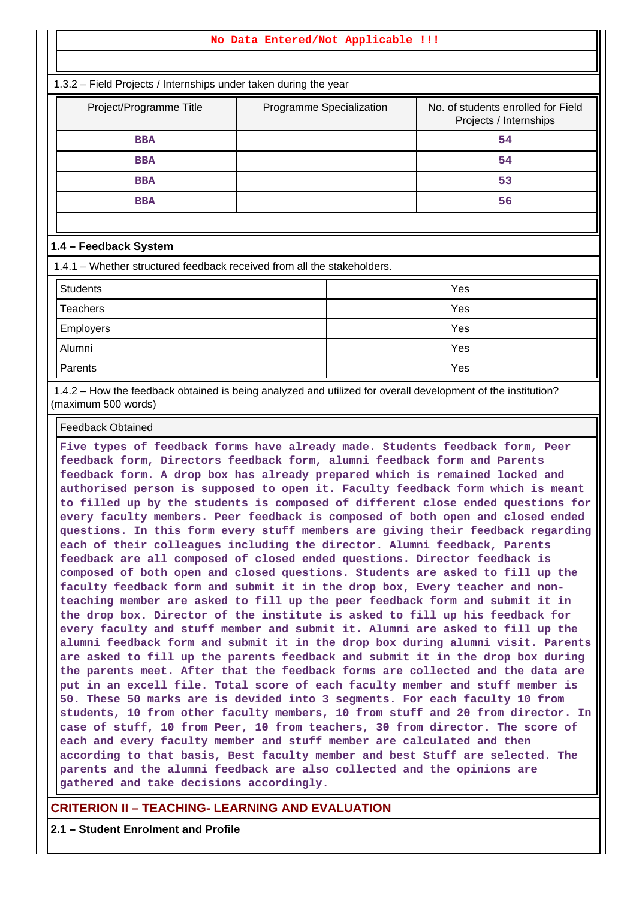#### **No Data Entered/Not Applicable !!!**

1.3.2 – Field Projects / Internships under taken during the year

| Project/Programme Title | Programme Specialization | No. of students enrolled for Field<br>Projects / Internships |
|-------------------------|--------------------------|--------------------------------------------------------------|
| <b>BBA</b>              |                          | 54                                                           |
| <b>BBA</b>              |                          | 54                                                           |
| <b>BBA</b>              |                          | 53                                                           |
| <b>BBA</b>              |                          | 56                                                           |

#### **1.4 – Feedback System**

1.4.1 – Whether structured feedback received from all the stakeholders.

| <b>Students</b>  | Yes |
|------------------|-----|
| Teachers         | Yes |
| <b>Employers</b> | Yes |
| Alumni           | Yes |
| Parents          | Yes |

 1.4.2 – How the feedback obtained is being analyzed and utilized for overall development of the institution? (maximum 500 words)

Feedback Obtained

**Five types of feedback forms have already made. Students feedback form, Peer feedback form, Directors feedback form, alumni feedback form and Parents feedback form. A drop box has already prepared which is remained locked and authorised person is supposed to open it. Faculty feedback form which is meant to filled up by the students is composed of different close ended questions for every faculty members. Peer feedback is composed of both open and closed ended questions. In this form every stuff members are giving their feedback regarding each of their colleagues including the director. Alumni feedback, Parents feedback are all composed of closed ended questions. Director feedback is composed of both open and closed questions. Students are asked to fill up the faculty feedback form and submit it in the drop box, Every teacher and nonteaching member are asked to fill up the peer feedback form and submit it in the drop box. Director of the institute is asked to fill up his feedback for every faculty and stuff member and submit it. Alumni are asked to fill up the alumni feedback form and submit it in the drop box during alumni visit. Parents are asked to fill up the parents feedback and submit it in the drop box during the parents meet. After that the feedback forms are collected and the data are put in an excell file. Total score of each faculty member and stuff member is 50. These 50 marks are is devided into 3 segments. For each faculty 10 from students, 10 from other faculty members, 10 from stuff and 20 from director. In case of stuff, 10 from Peer, 10 from teachers, 30 from director. The score of each and every faculty member and stuff member are calculated and then according to that basis, Best faculty member and best Stuff are selected. The parents and the alumni feedback are also collected and the opinions are gathered and take decisions accordingly.**

## **CRITERION II – TEACHING- LEARNING AND EVALUATION**

**2.1 – Student Enrolment and Profile**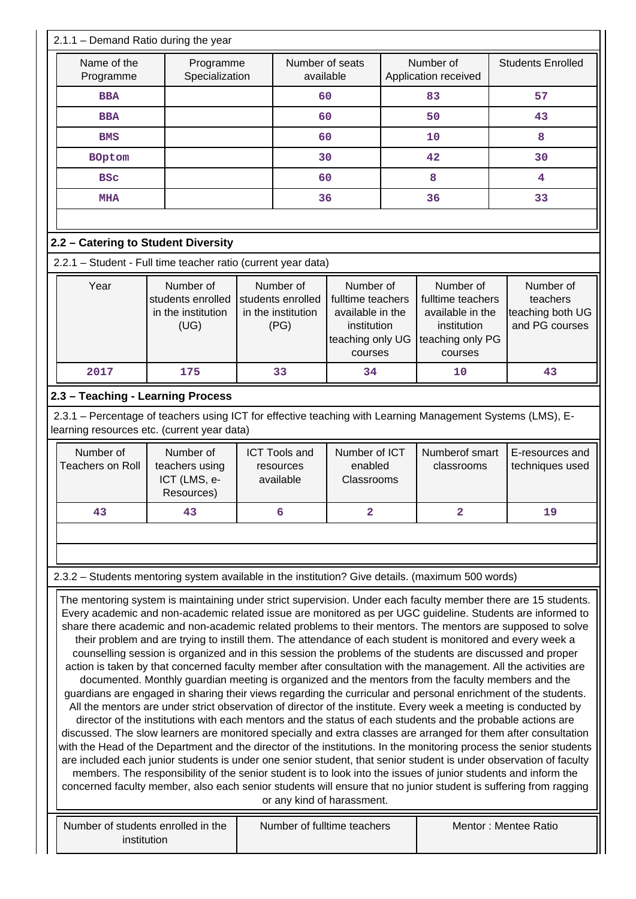| $2.1.1 -$ Demand Ratio during the year                                                                                                                                                                                                                                      |                                                                                                                                                                                                                                                                                                                                                                                                                                                                                                                                                                                                                                                                                                                                                                                                                                                                                                                                                                                                                                                                                                                                                                                                                                                                                                                                                                                                                                                                                                                  |           |                                                              |                                                                                                  |    |                                                                                                  |  |                                                             |  |  |  |
|-----------------------------------------------------------------------------------------------------------------------------------------------------------------------------------------------------------------------------------------------------------------------------|------------------------------------------------------------------------------------------------------------------------------------------------------------------------------------------------------------------------------------------------------------------------------------------------------------------------------------------------------------------------------------------------------------------------------------------------------------------------------------------------------------------------------------------------------------------------------------------------------------------------------------------------------------------------------------------------------------------------------------------------------------------------------------------------------------------------------------------------------------------------------------------------------------------------------------------------------------------------------------------------------------------------------------------------------------------------------------------------------------------------------------------------------------------------------------------------------------------------------------------------------------------------------------------------------------------------------------------------------------------------------------------------------------------------------------------------------------------------------------------------------------------|-----------|--------------------------------------------------------------|--------------------------------------------------------------------------------------------------|----|--------------------------------------------------------------------------------------------------|--|-------------------------------------------------------------|--|--|--|
| Name of the<br>Programme                                                                                                                                                                                                                                                    | Programme<br>Specialization                                                                                                                                                                                                                                                                                                                                                                                                                                                                                                                                                                                                                                                                                                                                                                                                                                                                                                                                                                                                                                                                                                                                                                                                                                                                                                                                                                                                                                                                                      |           |                                                              | Number of seats<br>available                                                                     |    | Number of<br>Application received                                                                |  | <b>Students Enrolled</b>                                    |  |  |  |
| <b>BBA</b>                                                                                                                                                                                                                                                                  |                                                                                                                                                                                                                                                                                                                                                                                                                                                                                                                                                                                                                                                                                                                                                                                                                                                                                                                                                                                                                                                                                                                                                                                                                                                                                                                                                                                                                                                                                                                  |           | 60                                                           |                                                                                                  | 83 |                                                                                                  |  | 57                                                          |  |  |  |
| <b>BBA</b>                                                                                                                                                                                                                                                                  |                                                                                                                                                                                                                                                                                                                                                                                                                                                                                                                                                                                                                                                                                                                                                                                                                                                                                                                                                                                                                                                                                                                                                                                                                                                                                                                                                                                                                                                                                                                  |           | 60                                                           |                                                                                                  | 50 |                                                                                                  |  | 43                                                          |  |  |  |
| <b>BMS</b>                                                                                                                                                                                                                                                                  |                                                                                                                                                                                                                                                                                                                                                                                                                                                                                                                                                                                                                                                                                                                                                                                                                                                                                                                                                                                                                                                                                                                                                                                                                                                                                                                                                                                                                                                                                                                  |           | 60                                                           |                                                                                                  |    | 10                                                                                               |  | 8                                                           |  |  |  |
| <b>BOptom</b>                                                                                                                                                                                                                                                               |                                                                                                                                                                                                                                                                                                                                                                                                                                                                                                                                                                                                                                                                                                                                                                                                                                                                                                                                                                                                                                                                                                                                                                                                                                                                                                                                                                                                                                                                                                                  |           | 30                                                           |                                                                                                  |    | 42                                                                                               |  | 30                                                          |  |  |  |
| <b>BSC</b>                                                                                                                                                                                                                                                                  |                                                                                                                                                                                                                                                                                                                                                                                                                                                                                                                                                                                                                                                                                                                                                                                                                                                                                                                                                                                                                                                                                                                                                                                                                                                                                                                                                                                                                                                                                                                  |           | 60                                                           |                                                                                                  |    | 8                                                                                                |  | $\overline{\mathbf{4}}$                                     |  |  |  |
| <b>MHA</b>                                                                                                                                                                                                                                                                  |                                                                                                                                                                                                                                                                                                                                                                                                                                                                                                                                                                                                                                                                                                                                                                                                                                                                                                                                                                                                                                                                                                                                                                                                                                                                                                                                                                                                                                                                                                                  |           | 36                                                           |                                                                                                  |    | 36                                                                                               |  | 33                                                          |  |  |  |
|                                                                                                                                                                                                                                                                             |                                                                                                                                                                                                                                                                                                                                                                                                                                                                                                                                                                                                                                                                                                                                                                                                                                                                                                                                                                                                                                                                                                                                                                                                                                                                                                                                                                                                                                                                                                                  |           |                                                              |                                                                                                  |    |                                                                                                  |  |                                                             |  |  |  |
| 2.2 - Catering to Student Diversity                                                                                                                                                                                                                                         |                                                                                                                                                                                                                                                                                                                                                                                                                                                                                                                                                                                                                                                                                                                                                                                                                                                                                                                                                                                                                                                                                                                                                                                                                                                                                                                                                                                                                                                                                                                  |           |                                                              |                                                                                                  |    |                                                                                                  |  |                                                             |  |  |  |
| 2.2.1 - Student - Full time teacher ratio (current year data)                                                                                                                                                                                                               |                                                                                                                                                                                                                                                                                                                                                                                                                                                                                                                                                                                                                                                                                                                                                                                                                                                                                                                                                                                                                                                                                                                                                                                                                                                                                                                                                                                                                                                                                                                  |           |                                                              |                                                                                                  |    |                                                                                                  |  |                                                             |  |  |  |
| Year                                                                                                                                                                                                                                                                        | Number of<br>students enrolled<br>in the institution<br>(UG)                                                                                                                                                                                                                                                                                                                                                                                                                                                                                                                                                                                                                                                                                                                                                                                                                                                                                                                                                                                                                                                                                                                                                                                                                                                                                                                                                                                                                                                     |           | Number of<br>students enrolled<br>in the institution<br>(PG) | Number of<br>fulltime teachers<br>available in the<br>institution<br>teaching only UG<br>courses |    | Number of<br>fulltime teachers<br>available in the<br>institution<br>teaching only PG<br>courses |  | Number of<br>teachers<br>teaching both UG<br>and PG courses |  |  |  |
| 2017                                                                                                                                                                                                                                                                        | 175                                                                                                                                                                                                                                                                                                                                                                                                                                                                                                                                                                                                                                                                                                                                                                                                                                                                                                                                                                                                                                                                                                                                                                                                                                                                                                                                                                                                                                                                                                              |           | 33                                                           | 34                                                                                               |    | 10                                                                                               |  | 43                                                          |  |  |  |
| 2.3 - Teaching - Learning Process                                                                                                                                                                                                                                           |                                                                                                                                                                                                                                                                                                                                                                                                                                                                                                                                                                                                                                                                                                                                                                                                                                                                                                                                                                                                                                                                                                                                                                                                                                                                                                                                                                                                                                                                                                                  |           |                                                              |                                                                                                  |    |                                                                                                  |  |                                                             |  |  |  |
| 2.3.1 - Percentage of teachers using ICT for effective teaching with Learning Management Systems (LMS), E-<br>learning resources etc. (current year data)                                                                                                                   |                                                                                                                                                                                                                                                                                                                                                                                                                                                                                                                                                                                                                                                                                                                                                                                                                                                                                                                                                                                                                                                                                                                                                                                                                                                                                                                                                                                                                                                                                                                  |           |                                                              |                                                                                                  |    |                                                                                                  |  |                                                             |  |  |  |
|                                                                                                                                                                                                                                                                             |                                                                                                                                                                                                                                                                                                                                                                                                                                                                                                                                                                                                                                                                                                                                                                                                                                                                                                                                                                                                                                                                                                                                                                                                                                                                                                                                                                                                                                                                                                                  | Number of |                                                              | Number of ICT<br>enabled<br>Classrooms                                                           |    |                                                                                                  |  |                                                             |  |  |  |
| Number of<br><b>Teachers on Roll</b>                                                                                                                                                                                                                                        | teachers using<br>ICT (LMS, e-<br>Resources)                                                                                                                                                                                                                                                                                                                                                                                                                                                                                                                                                                                                                                                                                                                                                                                                                                                                                                                                                                                                                                                                                                                                                                                                                                                                                                                                                                                                                                                                     |           | <b>ICT Tools and</b><br>resources<br>available               |                                                                                                  |    | Numberof smart<br>classrooms                                                                     |  | E-resources and<br>techniques used                          |  |  |  |
| 43                                                                                                                                                                                                                                                                          | 43                                                                                                                                                                                                                                                                                                                                                                                                                                                                                                                                                                                                                                                                                                                                                                                                                                                                                                                                                                                                                                                                                                                                                                                                                                                                                                                                                                                                                                                                                                               |           | 6                                                            | 2                                                                                                |    | 2                                                                                                |  | 19                                                          |  |  |  |
|                                                                                                                                                                                                                                                                             |                                                                                                                                                                                                                                                                                                                                                                                                                                                                                                                                                                                                                                                                                                                                                                                                                                                                                                                                                                                                                                                                                                                                                                                                                                                                                                                                                                                                                                                                                                                  |           |                                                              |                                                                                                  |    |                                                                                                  |  |                                                             |  |  |  |
|                                                                                                                                                                                                                                                                             |                                                                                                                                                                                                                                                                                                                                                                                                                                                                                                                                                                                                                                                                                                                                                                                                                                                                                                                                                                                                                                                                                                                                                                                                                                                                                                                                                                                                                                                                                                                  |           |                                                              |                                                                                                  |    |                                                                                                  |  |                                                             |  |  |  |
| 2.3.2 - Students mentoring system available in the institution? Give details. (maximum 500 words)                                                                                                                                                                           |                                                                                                                                                                                                                                                                                                                                                                                                                                                                                                                                                                                                                                                                                                                                                                                                                                                                                                                                                                                                                                                                                                                                                                                                                                                                                                                                                                                                                                                                                                                  |           |                                                              |                                                                                                  |    |                                                                                                  |  |                                                             |  |  |  |
| The mentoring system is maintaining under strict supervision. Under each faculty member there are 15 students.<br>with the Head of the Department and the director of the institutions. In the monitoring process the senior students<br>Number of students enrolled in the | Every academic and non-academic related issue are monitored as per UGC guideline. Students are informed to<br>share there academic and non-academic related problems to their mentors. The mentors are supposed to solve<br>their problem and are trying to instill them. The attendance of each student is monitored and every week a<br>counselling session is organized and in this session the problems of the students are discussed and proper<br>action is taken by that concerned faculty member after consultation with the management. All the activities are<br>documented. Monthly guardian meeting is organized and the mentors from the faculty members and the<br>guardians are engaged in sharing their views regarding the curricular and personal enrichment of the students.<br>All the mentors are under strict observation of director of the institute. Every week a meeting is conducted by<br>director of the institutions with each mentors and the status of each students and the probable actions are<br>discussed. The slow learners are monitored specially and extra classes are arranged for them after consultation<br>are included each junior students is under one senior student, that senior student is under observation of faculty<br>members. The responsibility of the senior student is to look into the issues of junior students and inform the<br>concerned faculty member, also each senior students will ensure that no junior student is suffering from ragging |           |                                                              | or any kind of harassment.<br>Number of fulltime teachers                                        |    |                                                                                                  |  | Mentor: Mentee Ratio                                        |  |  |  |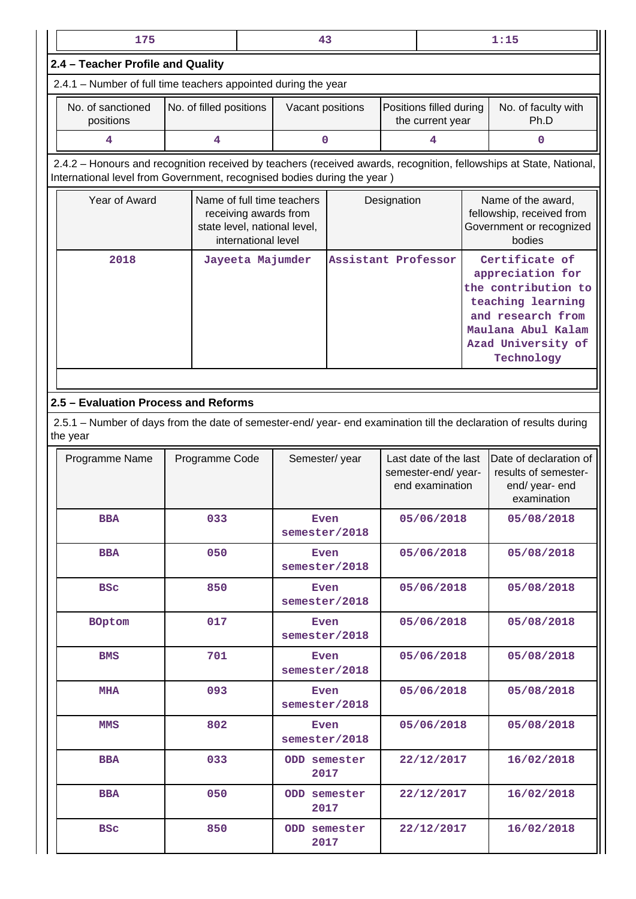| 175                                                                                                                                                                                            |                                                                                                            |  |                       | 43           |                                                                 |                     |                             | 1:15                                                                                                                                                          |  |
|------------------------------------------------------------------------------------------------------------------------------------------------------------------------------------------------|------------------------------------------------------------------------------------------------------------|--|-----------------------|--------------|-----------------------------------------------------------------|---------------------|-----------------------------|---------------------------------------------------------------------------------------------------------------------------------------------------------------|--|
| 2.4 - Teacher Profile and Quality                                                                                                                                                              |                                                                                                            |  |                       |              |                                                                 |                     |                             |                                                                                                                                                               |  |
| 2.4.1 - Number of full time teachers appointed during the year                                                                                                                                 |                                                                                                            |  |                       |              |                                                                 |                     |                             |                                                                                                                                                               |  |
| No. of sanctioned<br>positions                                                                                                                                                                 | No. of filled positions                                                                                    |  | Vacant positions      |              | Positions filled during<br>the current year                     |                     | No. of faculty with<br>Ph.D |                                                                                                                                                               |  |
| 4                                                                                                                                                                                              | 4                                                                                                          |  | 0                     |              |                                                                 | 4                   | 0                           |                                                                                                                                                               |  |
| 2.4.2 - Honours and recognition received by teachers (received awards, recognition, fellowships at State, National,<br>International level from Government, recognised bodies during the year) |                                                                                                            |  |                       |              |                                                                 |                     |                             |                                                                                                                                                               |  |
| Year of Award                                                                                                                                                                                  | Name of full time teachers<br>receiving awards from<br>state level, national level,<br>international level |  |                       |              | Designation                                                     |                     |                             | Name of the award,<br>fellowship, received from<br>Government or recognized<br>bodies                                                                         |  |
| 2018                                                                                                                                                                                           | Jayeeta Majumder                                                                                           |  |                       |              |                                                                 | Assistant Professor |                             | Certificate of<br>appreciation for<br>the contribution to<br>teaching learning<br>and research from<br>Maulana Abul Kalam<br>Azad University of<br>Technology |  |
|                                                                                                                                                                                                |                                                                                                            |  |                       |              |                                                                 |                     |                             |                                                                                                                                                               |  |
| 2.5 - Evaluation Process and Reforms                                                                                                                                                           |                                                                                                            |  |                       |              |                                                                 |                     |                             |                                                                                                                                                               |  |
| 2.5.1 – Number of days from the date of semester-end/ year- end examination till the declaration of results during<br>the year                                                                 |                                                                                                            |  |                       |              |                                                                 |                     |                             |                                                                                                                                                               |  |
| Programme Name                                                                                                                                                                                 | Programme Code                                                                                             |  | Semester/year         |              | Last date of the last<br>semester-end/ year-<br>end examination |                     |                             | Date of declaration of<br>results of semester-<br>end/ year- end<br>examination                                                                               |  |
| <b>BBA</b>                                                                                                                                                                                     | 033                                                                                                        |  | semester/2018         | Even         |                                                                 | 05/06/2018          |                             | 05/08/2018                                                                                                                                                    |  |
| <b>BBA</b>                                                                                                                                                                                     | 050                                                                                                        |  | Even<br>semester/2018 |              |                                                                 | 05/06/2018          |                             | 05/08/2018                                                                                                                                                    |  |
| <b>BSC</b>                                                                                                                                                                                     | 850                                                                                                        |  | semester/2018         | Even         |                                                                 | 05/06/2018          |                             | 05/08/2018                                                                                                                                                    |  |
| <b>BOptom</b>                                                                                                                                                                                  | 017                                                                                                        |  | semester/2018         | Even         |                                                                 | 05/06/2018          |                             | 05/08/2018                                                                                                                                                    |  |
| <b>BMS</b>                                                                                                                                                                                     | 701                                                                                                        |  | semester/2018         | Even         |                                                                 | 05/06/2018          |                             | 05/08/2018                                                                                                                                                    |  |
| <b>MHA</b>                                                                                                                                                                                     | 093                                                                                                        |  | semester/2018         | Even         |                                                                 | 05/06/2018          |                             | 05/08/2018                                                                                                                                                    |  |
| <b>MMS</b>                                                                                                                                                                                     | 802                                                                                                        |  | semester/2018         | Even         |                                                                 | 05/06/2018          |                             | 05/08/2018                                                                                                                                                    |  |
| <b>BBA</b>                                                                                                                                                                                     | 033                                                                                                        |  | 2017                  | ODD semester |                                                                 | 22/12/2017          |                             | 16/02/2018                                                                                                                                                    |  |
| <b>BBA</b>                                                                                                                                                                                     | 050                                                                                                        |  | ODD semester<br>2017  |              |                                                                 | 22/12/2017          |                             | 16/02/2018                                                                                                                                                    |  |
| <b>BSC</b>                                                                                                                                                                                     | 850                                                                                                        |  | ODD semester<br>2017  |              |                                                                 | 22/12/2017          |                             | 16/02/2018                                                                                                                                                    |  |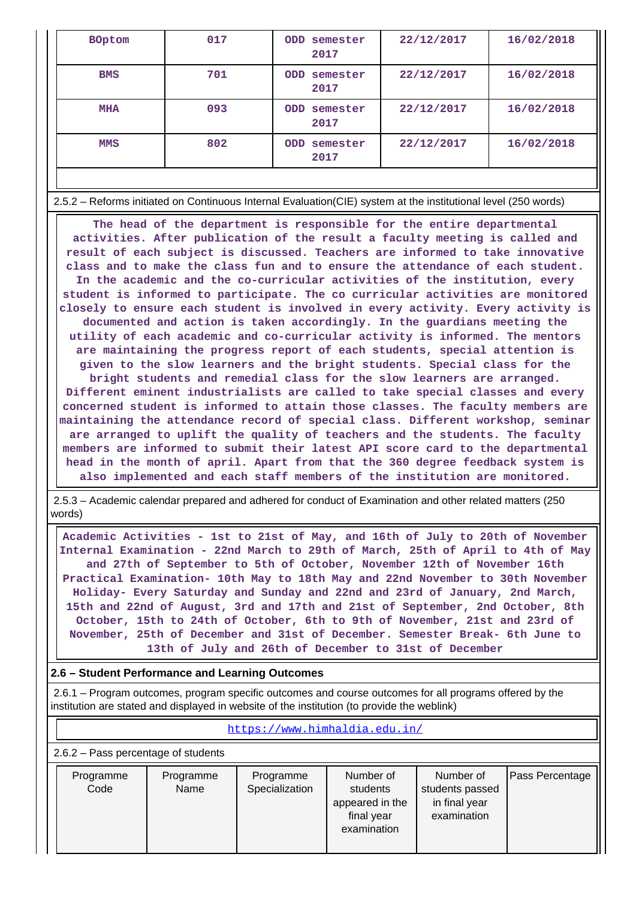| <b>BOptom</b> | 017 | semester<br>ODD<br>2017 | 22/12/2017 | 16/02/2018 |  |
|---------------|-----|-------------------------|------------|------------|--|
| <b>BMS</b>    | 701 | ODD semester<br>2017    | 22/12/2017 | 16/02/2018 |  |
| MHA           | 093 | ODD semester<br>2017    | 22/12/2017 | 16/02/2018 |  |
| <b>MMS</b>    | 802 | ODD semester<br>2017    | 22/12/2017 | 16/02/2018 |  |
|               |     |                         |            |            |  |

2.5.2 – Reforms initiated on Continuous Internal Evaluation(CIE) system at the institutional level (250 words)

 **The head of the department is responsible for the entire departmental activities. After publication of the result a faculty meeting is called and result of each subject is discussed. Teachers are informed to take innovative class and to make the class fun and to ensure the attendance of each student. In the academic and the co-curricular activities of the institution, every student is informed to participate. The co curricular activities are monitored closely to ensure each student is involved in every activity. Every activity is documented and action is taken accordingly. In the guardians meeting the utility of each academic and co-curricular activity is informed. The mentors are maintaining the progress report of each students, special attention is given to the slow learners and the bright students. Special class for the bright students and remedial class for the slow learners are arranged. Different eminent industrialists are called to take special classes and every concerned student is informed to attain those classes. The faculty members are maintaining the attendance record of special class. Different workshop, seminar are arranged to uplift the quality of teachers and the students. The faculty members are informed to submit their latest API score card to the departmental head in the month of april. Apart from that the 360 degree feedback system is also implemented and each staff members of the institution are monitored.**

 2.5.3 – Academic calendar prepared and adhered for conduct of Examination and other related matters (250 words)

 **Academic Activities - 1st to 21st of May, and 16th of July to 20th of November Internal Examination - 22nd March to 29th of March, 25th of April to 4th of May and 27th of September to 5th of October, November 12th of November 16th Practical Examination- 10th May to 18th May and 22nd November to 30th November Holiday- Every Saturday and Sunday and 22nd and 23rd of January, 2nd March, 15th and 22nd of August, 3rd and 17th and 21st of September, 2nd October, 8th October, 15th to 24th of October, 6th to 9th of November, 21st and 23rd of November, 25th of December and 31st of December. Semester Break- 6th June to 13th of July and 26th of December to 31st of December**

## **2.6 – Student Performance and Learning Outcomes**

 2.6.1 – Program outcomes, program specific outcomes and course outcomes for all programs offered by the institution are stated and displayed in website of the institution (to provide the weblink)

| https://www.himhaldia.edu.in/         |                   |                             |                                                        |                                                              |                 |  |  |  |  |  |  |
|---------------------------------------|-------------------|-----------------------------|--------------------------------------------------------|--------------------------------------------------------------|-----------------|--|--|--|--|--|--|
| $2.6.2$ – Pass percentage of students |                   |                             |                                                        |                                                              |                 |  |  |  |  |  |  |
| Programme<br>Code                     | Programme<br>Name | Programme<br>Specialization | Number of<br>students<br>appeared in the<br>final year | Number of<br>students passed<br>in final year<br>examination | Pass Percentage |  |  |  |  |  |  |

examination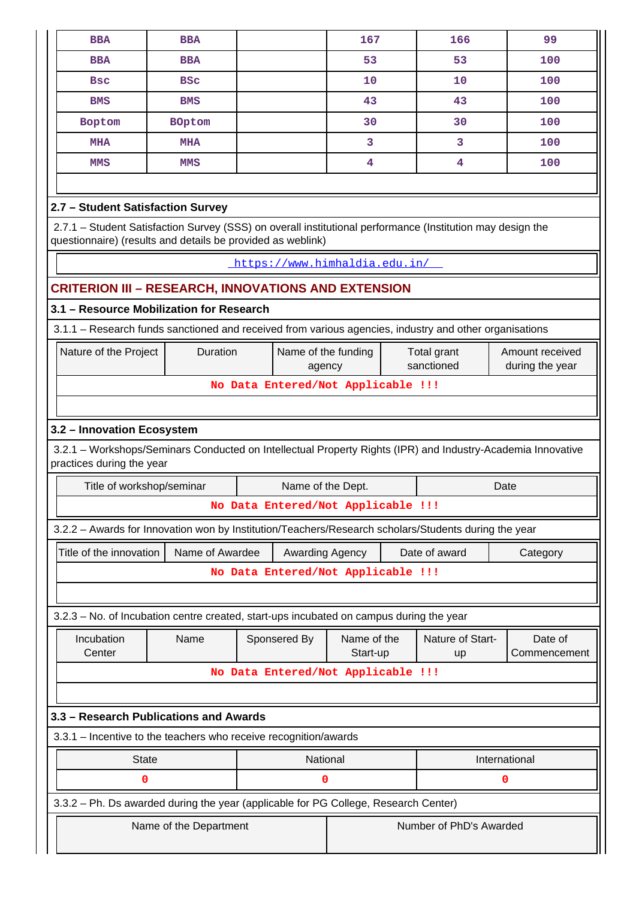| <b>BBA</b>                                                                                                                                                                | <b>BBA</b>                                                                                             |              | 167                                |  | 166                     | 99            |  |  |  |  |  |  |
|---------------------------------------------------------------------------------------------------------------------------------------------------------------------------|--------------------------------------------------------------------------------------------------------|--------------|------------------------------------|--|-------------------------|---------------|--|--|--|--|--|--|
| <b>BBA</b>                                                                                                                                                                | <b>BBA</b>                                                                                             |              | 53                                 |  | 53                      | 100           |  |  |  |  |  |  |
| Bsc                                                                                                                                                                       | <b>BSC</b>                                                                                             |              | 10                                 |  | 10                      | 100           |  |  |  |  |  |  |
| <b>BMS</b>                                                                                                                                                                | <b>BMS</b>                                                                                             |              | 43                                 |  | 43                      | 100           |  |  |  |  |  |  |
| Boptom                                                                                                                                                                    | <b>BOptom</b>                                                                                          |              | 30                                 |  | 30                      | 100           |  |  |  |  |  |  |
| <b>MHA</b>                                                                                                                                                                | MHA                                                                                                    |              | 3                                  |  | 3                       | 100           |  |  |  |  |  |  |
| <b>MMS</b>                                                                                                                                                                | <b>MMS</b>                                                                                             |              | 4                                  |  | 4                       | 100           |  |  |  |  |  |  |
|                                                                                                                                                                           |                                                                                                        |              |                                    |  |                         |               |  |  |  |  |  |  |
| 2.7 - Student Satisfaction Survey                                                                                                                                         |                                                                                                        |              |                                    |  |                         |               |  |  |  |  |  |  |
| 2.7.1 - Student Satisfaction Survey (SSS) on overall institutional performance (Institution may design the<br>questionnaire) (results and details be provided as weblink) |                                                                                                        |              |                                    |  |                         |               |  |  |  |  |  |  |
| https://www.himhaldia.edu.in/                                                                                                                                             |                                                                                                        |              |                                    |  |                         |               |  |  |  |  |  |  |
|                                                                                                                                                                           | <b>CRITERION III - RESEARCH, INNOVATIONS AND EXTENSION</b>                                             |              |                                    |  |                         |               |  |  |  |  |  |  |
|                                                                                                                                                                           | 3.1 - Resource Mobilization for Research                                                               |              |                                    |  |                         |               |  |  |  |  |  |  |
|                                                                                                                                                                           | 3.1.1 - Research funds sanctioned and received from various agencies, industry and other organisations |              |                                    |  |                         |               |  |  |  |  |  |  |
| Duration<br>Nature of the Project<br>Amount received<br>Name of the funding<br>Total grant<br>sanctioned<br>during the year<br>agency                                     |                                                                                                        |              |                                    |  |                         |               |  |  |  |  |  |  |
|                                                                                                                                                                           |                                                                                                        |              | No Data Entered/Not Applicable !!! |  |                         |               |  |  |  |  |  |  |
|                                                                                                                                                                           |                                                                                                        |              |                                    |  |                         |               |  |  |  |  |  |  |
|                                                                                                                                                                           |                                                                                                        |              |                                    |  |                         |               |  |  |  |  |  |  |
| 3.2 - Innovation Ecosystem<br>3.2.1 - Workshops/Seminars Conducted on Intellectual Property Rights (IPR) and Industry-Academia Innovative                                 |                                                                                                        |              |                                    |  |                         |               |  |  |  |  |  |  |
| practices during the year                                                                                                                                                 |                                                                                                        |              |                                    |  |                         |               |  |  |  |  |  |  |
| Title of workshop/seminar                                                                                                                                                 |                                                                                                        |              | Name of the Dept.                  |  |                         | Date          |  |  |  |  |  |  |
|                                                                                                                                                                           |                                                                                                        |              | No Data Entered/Not Applicable !!! |  |                         |               |  |  |  |  |  |  |
|                                                                                                                                                                           | 3.2.2 - Awards for Innovation won by Institution/Teachers/Research scholars/Students during the year   |              |                                    |  |                         |               |  |  |  |  |  |  |
| Title of the innovation                                                                                                                                                   | Name of Awardee                                                                                        |              | Awarding Agency                    |  | Date of award           | Category      |  |  |  |  |  |  |
|                                                                                                                                                                           |                                                                                                        |              | No Data Entered/Not Applicable !!! |  |                         |               |  |  |  |  |  |  |
|                                                                                                                                                                           |                                                                                                        |              |                                    |  |                         |               |  |  |  |  |  |  |
|                                                                                                                                                                           | 3.2.3 - No. of Incubation centre created, start-ups incubated on campus during the year                |              |                                    |  |                         |               |  |  |  |  |  |  |
| Incubation                                                                                                                                                                | Name                                                                                                   |              | Name of the                        |  | Nature of Start-        | Date of       |  |  |  |  |  |  |
| Center                                                                                                                                                                    |                                                                                                        | Sponsered By | Start-up                           |  | up                      | Commencement  |  |  |  |  |  |  |
|                                                                                                                                                                           |                                                                                                        |              | No Data Entered/Not Applicable !!! |  |                         |               |  |  |  |  |  |  |
|                                                                                                                                                                           |                                                                                                        |              |                                    |  |                         |               |  |  |  |  |  |  |
|                                                                                                                                                                           | 3.3 - Research Publications and Awards                                                                 |              |                                    |  |                         |               |  |  |  |  |  |  |
|                                                                                                                                                                           | 3.3.1 - Incentive to the teachers who receive recognition/awards                                       |              |                                    |  |                         |               |  |  |  |  |  |  |
| <b>State</b>                                                                                                                                                              |                                                                                                        |              | National                           |  |                         | International |  |  |  |  |  |  |
| 0                                                                                                                                                                         |                                                                                                        |              | 0                                  |  |                         | 0             |  |  |  |  |  |  |
|                                                                                                                                                                           | 3.3.2 - Ph. Ds awarded during the year (applicable for PG College, Research Center)                    |              |                                    |  |                         |               |  |  |  |  |  |  |
|                                                                                                                                                                           | Name of the Department                                                                                 |              |                                    |  | Number of PhD's Awarded |               |  |  |  |  |  |  |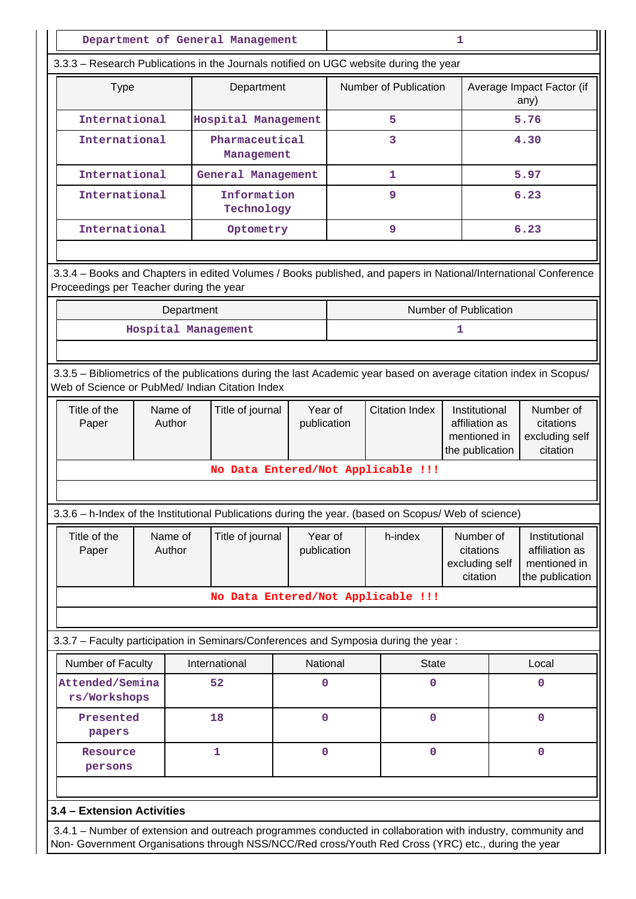|                                                                                                                                                                                                                    |                   |            | Department of General Management   |                        |                       |  |                              | 1                                                                                                                          |      |                                                                    |
|--------------------------------------------------------------------------------------------------------------------------------------------------------------------------------------------------------------------|-------------------|------------|------------------------------------|------------------------|-----------------------|--|------------------------------|----------------------------------------------------------------------------------------------------------------------------|------|--------------------------------------------------------------------|
| 3.3.3 - Research Publications in the Journals notified on UGC website during the year                                                                                                                              |                   |            |                                    |                        |                       |  |                              |                                                                                                                            |      |                                                                    |
| <b>Type</b>                                                                                                                                                                                                        |                   |            | Department                         |                        |                       |  | <b>Number of Publication</b> |                                                                                                                            |      | Average Impact Factor (if<br>any)                                  |
| International                                                                                                                                                                                                      |                   |            | Hospital Management                |                        |                       |  | 5                            |                                                                                                                            | 5.76 |                                                                    |
| International                                                                                                                                                                                                      |                   |            | Pharmaceutical<br>Management       |                        |                       |  | 3                            |                                                                                                                            |      | 4.30                                                               |
| International                                                                                                                                                                                                      |                   |            | General Management                 |                        |                       |  | 1                            |                                                                                                                            |      | 5.97                                                               |
| International                                                                                                                                                                                                      |                   |            | Information<br>Technology          |                        |                       |  | 9                            |                                                                                                                            |      | 6.23                                                               |
| International                                                                                                                                                                                                      |                   |            | Optometry                          |                        |                       |  | 9                            |                                                                                                                            |      | 6.23                                                               |
| 3.3.4 - Books and Chapters in edited Volumes / Books published, and papers in National/International Conference<br>Proceedings per Teacher during the year                                                         |                   | Department |                                    |                        |                       |  |                              | Number of Publication                                                                                                      |      |                                                                    |
|                                                                                                                                                                                                                    |                   |            | Hospital Management                |                        |                       |  |                              | 1                                                                                                                          |      |                                                                    |
|                                                                                                                                                                                                                    |                   |            |                                    |                        |                       |  |                              |                                                                                                                            |      |                                                                    |
| 3.3.5 - Bibliometrics of the publications during the last Academic year based on average citation index in Scopus/<br>Web of Science or PubMed/ Indian Citation Index                                              |                   |            |                                    |                        |                       |  |                              |                                                                                                                            |      |                                                                    |
| Title of the<br>Paper                                                                                                                                                                                              | Name of<br>Author |            | Title of journal                   | Year of<br>publication | <b>Citation Index</b> |  |                              | Number of<br>Institutional<br>affiliation as<br>citations<br>mentioned in<br>excluding self<br>the publication<br>citation |      |                                                                    |
|                                                                                                                                                                                                                    |                   |            | No Data Entered/Not Applicable !!! |                        |                       |  |                              |                                                                                                                            |      |                                                                    |
|                                                                                                                                                                                                                    |                   |            |                                    |                        |                       |  |                              |                                                                                                                            |      |                                                                    |
| 3.3.6 - h-Index of the Institutional Publications during the year. (based on Scopus/ Web of science)                                                                                                               |                   |            |                                    |                        |                       |  |                              |                                                                                                                            |      |                                                                    |
| Title of the<br>Paper                                                                                                                                                                                              | Name of<br>Author |            | Title of journal                   | Year of<br>publication |                       |  | h-index                      | Number of<br>citations<br>excluding self<br>citation                                                                       |      | Institutional<br>affiliation as<br>mentioned in<br>the publication |
|                                                                                                                                                                                                                    |                   |            | No Data Entered/Not Applicable !!! |                        |                       |  |                              |                                                                                                                            |      |                                                                    |
|                                                                                                                                                                                                                    |                   |            |                                    |                        |                       |  |                              |                                                                                                                            |      |                                                                    |
| 3.3.7 - Faculty participation in Seminars/Conferences and Symposia during the year:                                                                                                                                |                   |            |                                    |                        |                       |  |                              |                                                                                                                            |      |                                                                    |
| Number of Faculty                                                                                                                                                                                                  |                   |            | International                      | National               |                       |  | <b>State</b>                 |                                                                                                                            |      | Local                                                              |
| Attended/Semina<br>rs/Workshops                                                                                                                                                                                    |                   |            | 52                                 | 0                      |                       |  | 0                            |                                                                                                                            |      | 0                                                                  |
| Presented<br>papers                                                                                                                                                                                                |                   |            | 18                                 | $\mathbf 0$            |                       |  | $\mathbf 0$                  |                                                                                                                            |      | $\mathbf 0$                                                        |
| Resource<br>persons                                                                                                                                                                                                |                   |            | 1                                  | $\mathbf 0$            |                       |  | $\mathbf 0$                  |                                                                                                                            |      | $\mathbf 0$                                                        |
|                                                                                                                                                                                                                    |                   |            |                                    |                        |                       |  |                              |                                                                                                                            |      |                                                                    |
| 3.4 - Extension Activities                                                                                                                                                                                         |                   |            |                                    |                        |                       |  |                              |                                                                                                                            |      |                                                                    |
| 3.4.1 – Number of extension and outreach programmes conducted in collaboration with industry, community and<br>Non- Government Organisations through NSS/NCC/Red cross/Youth Red Cross (YRC) etc., during the year |                   |            |                                    |                        |                       |  |                              |                                                                                                                            |      |                                                                    |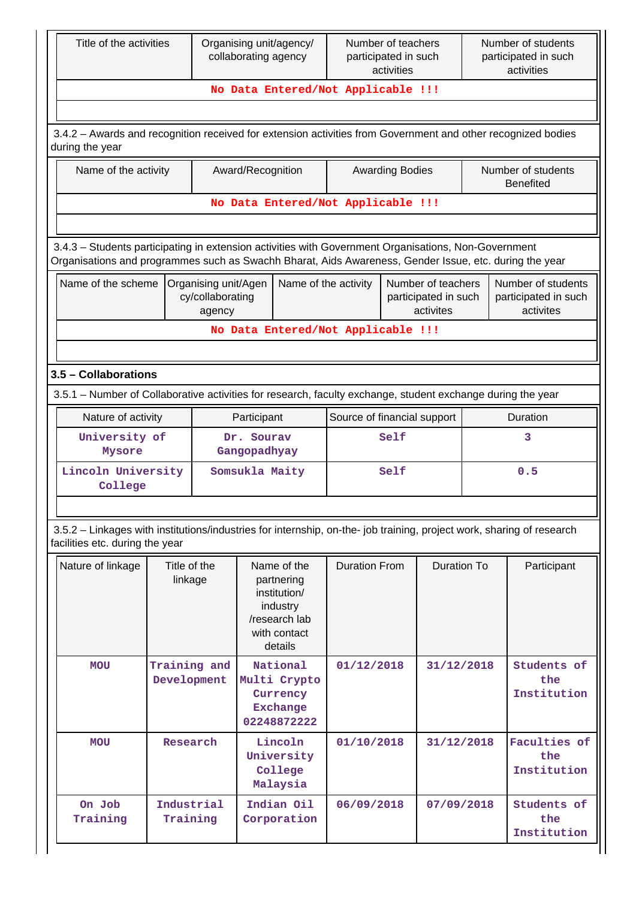| Title of the activities                                                                                                                                                                                        |                             |                                                                                                                              | collaborating agency | Organising unit/agency/                                                | Number of teachers<br>participated in such<br>activities |                        |            | Number of students<br>participated in such<br>activities |                                                         |  |  |  |
|----------------------------------------------------------------------------------------------------------------------------------------------------------------------------------------------------------------|-----------------------------|------------------------------------------------------------------------------------------------------------------------------|----------------------|------------------------------------------------------------------------|----------------------------------------------------------|------------------------|------------|----------------------------------------------------------|---------------------------------------------------------|--|--|--|
|                                                                                                                                                                                                                |                             |                                                                                                                              |                      |                                                                        | No Data Entered/Not Applicable !!!                       |                        |            |                                                          |                                                         |  |  |  |
|                                                                                                                                                                                                                |                             |                                                                                                                              |                      |                                                                        |                                                          |                        |            |                                                          |                                                         |  |  |  |
| 3.4.2 - Awards and recognition received for extension activities from Government and other recognized bodies<br>during the year                                                                                |                             |                                                                                                                              |                      |                                                                        |                                                          |                        |            |                                                          |                                                         |  |  |  |
| Name of the activity                                                                                                                                                                                           |                             |                                                                                                                              | Award/Recognition    |                                                                        |                                                          | <b>Awarding Bodies</b> |            |                                                          | Number of students<br><b>Benefited</b>                  |  |  |  |
|                                                                                                                                                                                                                |                             |                                                                                                                              |                      |                                                                        | No Data Entered/Not Applicable !!!                       |                        |            |                                                          |                                                         |  |  |  |
|                                                                                                                                                                                                                |                             |                                                                                                                              |                      |                                                                        |                                                          |                        |            |                                                          |                                                         |  |  |  |
| 3.4.3 - Students participating in extension activities with Government Organisations, Non-Government<br>Organisations and programmes such as Swachh Bharat, Aids Awareness, Gender Issue, etc. during the year |                             |                                                                                                                              |                      |                                                                        |                                                          |                        |            |                                                          |                                                         |  |  |  |
| Name of the scheme<br>Organising unit/Agen<br>Name of the activity<br>Number of teachers<br>participated in such<br>cy/collaborating<br>activites<br>agency                                                    |                             |                                                                                                                              |                      |                                                                        |                                                          |                        |            |                                                          | Number of students<br>participated in such<br>activites |  |  |  |
|                                                                                                                                                                                                                |                             |                                                                                                                              |                      |                                                                        | No Data Entered/Not Applicable !!!                       |                        |            |                                                          |                                                         |  |  |  |
|                                                                                                                                                                                                                |                             |                                                                                                                              |                      |                                                                        |                                                          |                        |            |                                                          |                                                         |  |  |  |
| 3.5 - Collaborations                                                                                                                                                                                           |                             |                                                                                                                              |                      |                                                                        |                                                          |                        |            |                                                          |                                                         |  |  |  |
| 3.5.1 – Number of Collaborative activities for research, faculty exchange, student exchange during the year                                                                                                    |                             |                                                                                                                              |                      |                                                                        |                                                          |                        |            |                                                          |                                                         |  |  |  |
| Nature of activity                                                                                                                                                                                             |                             |                                                                                                                              | Participant          |                                                                        | Source of financial support                              |                        |            |                                                          | Duration                                                |  |  |  |
| University of                                                                                                                                                                                                  |                             |                                                                                                                              | Dr. Sourav           |                                                                        |                                                          | Self                   |            |                                                          | 3                                                       |  |  |  |
| Mysore                                                                                                                                                                                                         |                             |                                                                                                                              |                      | Gangopadhyay                                                           |                                                          |                        |            |                                                          |                                                         |  |  |  |
| Lincoln University<br>College                                                                                                                                                                                  |                             |                                                                                                                              | Somsukla Maity       |                                                                        |                                                          | Self                   |            |                                                          | 0.5                                                     |  |  |  |
| 3.5.2 - Linkages with institutions/industries for internship, on-the- job training, project work, sharing of research                                                                                          |                             |                                                                                                                              |                      |                                                                        |                                                          |                        |            |                                                          |                                                         |  |  |  |
| facilities etc. during the year                                                                                                                                                                                |                             |                                                                                                                              |                      |                                                                        |                                                          |                        |            |                                                          |                                                         |  |  |  |
| Nature of linkage                                                                                                                                                                                              |                             | Title of the<br>Name of the<br>linkage<br>partnering<br>institution/<br>industry<br>/research lab<br>with contact<br>details |                      | <b>Duration From</b>                                                   |                                                          | Duration To            |            | Participant                                              |                                                         |  |  |  |
| <b>MOU</b>                                                                                                                                                                                                     | Training and<br>Development |                                                                                                                              |                      | National<br>Multi Crypto<br>Currency<br><b>Exchange</b><br>02248872222 | 01/12/2018                                               |                        | 31/12/2018 |                                                          | Students of<br>the<br>Institution                       |  |  |  |
| <b>MOU</b>                                                                                                                                                                                                     | Research                    |                                                                                                                              |                      | Lincoln<br>University<br>College<br>Malaysia                           | 01/10/2018                                               |                        | 31/12/2018 |                                                          | Faculties of<br>the<br>Institution                      |  |  |  |
| On Job<br>Training                                                                                                                                                                                             | Industrial<br>Training      |                                                                                                                              |                      | Indian Oil<br>Corporation                                              | 06/09/2018                                               |                        | 07/09/2018 |                                                          | Students of<br>the<br>Institution                       |  |  |  |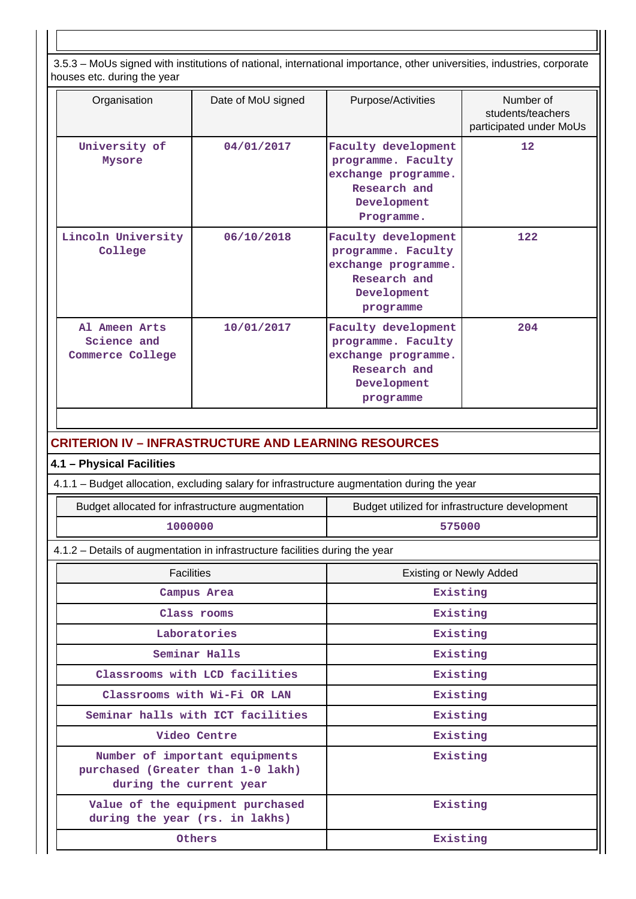3.5.3 – MoUs signed with institutions of national, international importance, other universities, industries, corporate houses etc. during the year

| nouses etc. uunny the year                                                   |                                                 |                                                                                                               |                                                           |  |  |  |
|------------------------------------------------------------------------------|-------------------------------------------------|---------------------------------------------------------------------------------------------------------------|-----------------------------------------------------------|--|--|--|
| Organisation                                                                 | Date of MoU signed                              | Purpose/Activities                                                                                            | Number of<br>students/teachers<br>participated under MoUs |  |  |  |
| University of<br>Mysore                                                      | 04/01/2017                                      | Faculty development<br>programme. Faculty<br>exchange programme.<br>Research and<br>Development<br>Programme. | 12                                                        |  |  |  |
| Lincoln University<br>College                                                | 06/10/2018                                      | Faculty development<br>programme. Faculty<br>exchange programme.<br>Research and<br>Development<br>programme  | 122                                                       |  |  |  |
| Al Ameen Arts<br>Science and<br>Commerce College                             | 10/01/2017                                      | Faculty development<br>programme. Faculty<br>exchange programme.<br>Research and<br>Development<br>programme  | 204                                                       |  |  |  |
|                                                                              |                                                 |                                                                                                               |                                                           |  |  |  |
| <b>CRITERION IV - INFRASTRUCTURE AND LEARNING RESOURCES</b>                  |                                                 |                                                                                                               |                                                           |  |  |  |
| 4.1 - Physical Facilities                                                    |                                                 |                                                                                                               |                                                           |  |  |  |
|                                                                              |                                                 | 4.1.1 - Budget allocation, excluding salary for infrastructure augmentation during the year                   |                                                           |  |  |  |
| Budget allocated for infrastructure augmentation                             |                                                 | Budget utilized for infrastructure development                                                                |                                                           |  |  |  |
| 1000000                                                                      |                                                 | 575000                                                                                                        |                                                           |  |  |  |
| 4.1.2 - Details of augmentation in infrastructure facilities during the year |                                                 |                                                                                                               |                                                           |  |  |  |
| <b>Facilities</b>                                                            |                                                 | <b>Existing or Newly Added</b>                                                                                |                                                           |  |  |  |
|                                                                              | Campus Area                                     | Existing                                                                                                      |                                                           |  |  |  |
|                                                                              | Class rooms                                     | Existing                                                                                                      |                                                           |  |  |  |
|                                                                              | Laboratories                                    | Existing                                                                                                      |                                                           |  |  |  |
|                                                                              | Seminar Halls<br>Classrooms with LCD facilities | Existing<br>Existing                                                                                          |                                                           |  |  |  |
|                                                                              | Classrooms with Wi-Fi OR LAN                    |                                                                                                               |                                                           |  |  |  |
|                                                                              | Seminar halls with ICT facilities               | Existing<br>Existing                                                                                          |                                                           |  |  |  |
|                                                                              | Video Centre                                    | Existing                                                                                                      |                                                           |  |  |  |
| purchased (Greater than 1-0 lakh)<br>during the current year                 | Number of important equipments                  | Existing                                                                                                      |                                                           |  |  |  |
|                                                                              | Value of the equipment purchased                | Existing                                                                                                      |                                                           |  |  |  |

 **Others Existing**

**during the year (rs. in lakhs)**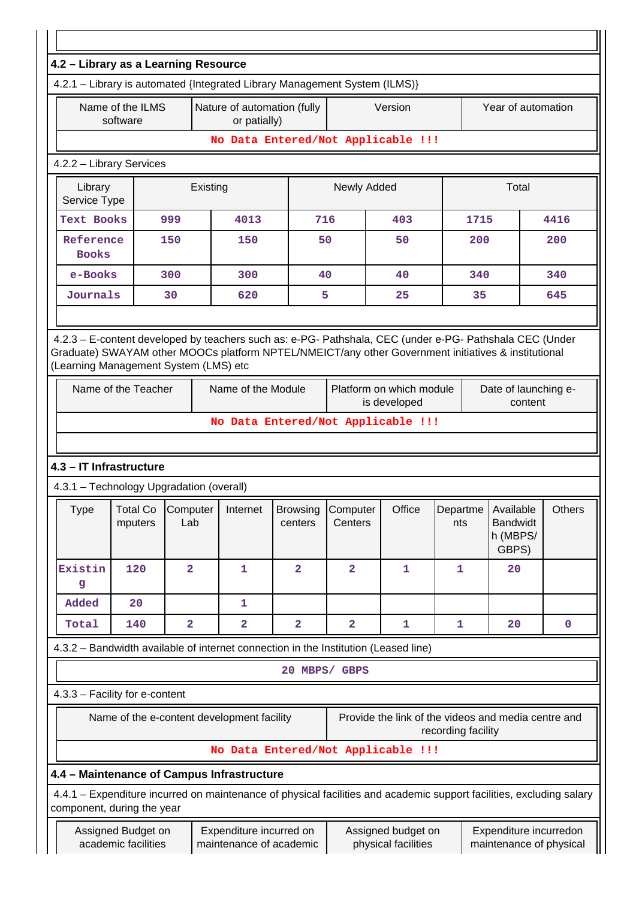| 4.2 - Library as a Learning Resource                                                                                                                              |                                            |                         |          |                                                    |                                                                                                                      |                            |                                           |                    |      |                                                     |               |  |  |
|-------------------------------------------------------------------------------------------------------------------------------------------------------------------|--------------------------------------------|-------------------------|----------|----------------------------------------------------|----------------------------------------------------------------------------------------------------------------------|----------------------------|-------------------------------------------|--------------------|------|-----------------------------------------------------|---------------|--|--|
| 4.2.1 - Library is automated {Integrated Library Management System (ILMS)}                                                                                        |                                            |                         |          |                                                    |                                                                                                                      |                            |                                           |                    |      |                                                     |               |  |  |
|                                                                                                                                                                   | Name of the ILMS<br>software               |                         |          | Nature of automation (fully<br>or patially)        |                                                                                                                      |                            | Version                                   |                    |      | Year of automation                                  |               |  |  |
|                                                                                                                                                                   |                                            |                         |          |                                                    | No Data Entered/Not Applicable !!!                                                                                   |                            |                                           |                    |      |                                                     |               |  |  |
| 4.2.2 - Library Services                                                                                                                                          |                                            |                         |          |                                                    |                                                                                                                      |                            |                                           |                    |      |                                                     |               |  |  |
| Library<br>Service Type                                                                                                                                           |                                            |                         | Existing |                                                    |                                                                                                                      | Newly Added                |                                           |                    |      | Total                                               |               |  |  |
| <b>Text Books</b>                                                                                                                                                 |                                            | 999                     |          | 4013                                               | 716                                                                                                                  |                            | 403                                       |                    | 1715 |                                                     | 4416          |  |  |
| Reference<br><b>Books</b>                                                                                                                                         |                                            | 150                     |          | 150                                                | 50                                                                                                                   |                            | 50                                        |                    | 200  |                                                     | 200           |  |  |
| e-Books                                                                                                                                                           |                                            | 300                     |          | 300                                                | 40                                                                                                                   |                            | 40                                        |                    | 340  |                                                     | 340           |  |  |
| Journals                                                                                                                                                          |                                            | 30                      |          | 620                                                | 5                                                                                                                    |                            | 25                                        |                    | 35   |                                                     | 645           |  |  |
|                                                                                                                                                                   |                                            |                         |          |                                                    |                                                                                                                      |                            |                                           |                    |      |                                                     |               |  |  |
| (Learning Management System (LMS) etc<br>Name of the Teacher<br>Name of the Module<br>Platform on which module<br>Date of launching e-<br>is developed<br>content |                                            |                         |          |                                                    |                                                                                                                      |                            |                                           |                    |      |                                                     |               |  |  |
|                                                                                                                                                                   |                                            |                         |          |                                                    | No Data Entered/Not Applicable !!!                                                                                   |                            |                                           |                    |      |                                                     |               |  |  |
|                                                                                                                                                                   |                                            |                         |          |                                                    |                                                                                                                      |                            |                                           |                    |      |                                                     |               |  |  |
| 4.3 - IT Infrastructure                                                                                                                                           |                                            |                         |          |                                                    |                                                                                                                      |                            |                                           |                    |      |                                                     |               |  |  |
| 4.3.1 - Technology Upgradation (overall)                                                                                                                          |                                            |                         |          |                                                    |                                                                                                                      |                            |                                           |                    |      |                                                     |               |  |  |
| Type                                                                                                                                                              | Total Co Computer<br>mputers               | Lab                     |          | Internet                                           | Browsing<br>centers                                                                                                  | <b>Computer</b><br>Centers | Office                                    | Departme<br>nts    |      | Available<br><b>Bandwidt</b><br>h (MBPS/<br>GBPS)   | <b>Others</b> |  |  |
| Existin<br>g                                                                                                                                                      | 120                                        | $\overline{\mathbf{2}}$ |          | 1                                                  | $\overline{\mathbf{2}}$                                                                                              | $\overline{\mathbf{2}}$    | 1                                         | 1                  |      | 20                                                  |               |  |  |
| Added                                                                                                                                                             | 20                                         |                         |          | 1                                                  |                                                                                                                      |                            |                                           |                    |      |                                                     |               |  |  |
| Total                                                                                                                                                             | 140                                        | $\overline{\mathbf{2}}$ |          | $\overline{\mathbf{2}}$                            | $\overline{\mathbf{2}}$                                                                                              | $\overline{\mathbf{2}}$    | 1                                         | 1                  |      | 20                                                  | $\mathbf 0$   |  |  |
|                                                                                                                                                                   |                                            |                         |          |                                                    | 4.3.2 - Bandwidth available of internet connection in the Institution (Leased line)                                  |                            |                                           |                    |      |                                                     |               |  |  |
|                                                                                                                                                                   |                                            |                         |          |                                                    | 20 MBPS/ GBPS                                                                                                        |                            |                                           |                    |      |                                                     |               |  |  |
| 4.3.3 - Facility for e-content                                                                                                                                    |                                            |                         |          |                                                    |                                                                                                                      |                            |                                           |                    |      |                                                     |               |  |  |
|                                                                                                                                                                   | Name of the e-content development facility |                         |          |                                                    |                                                                                                                      |                            |                                           | recording facility |      | Provide the link of the videos and media centre and |               |  |  |
|                                                                                                                                                                   |                                            |                         |          |                                                    | No Data Entered/Not Applicable !!!                                                                                   |                            |                                           |                    |      |                                                     |               |  |  |
| 4.4 - Maintenance of Campus Infrastructure                                                                                                                        |                                            |                         |          |                                                    |                                                                                                                      |                            |                                           |                    |      |                                                     |               |  |  |
| component, during the year                                                                                                                                        |                                            |                         |          |                                                    | 4.4.1 - Expenditure incurred on maintenance of physical facilities and academic support facilities, excluding salary |                            |                                           |                    |      |                                                     |               |  |  |
|                                                                                                                                                                   | Assigned Budget on<br>academic facilities  |                         |          | Expenditure incurred on<br>maintenance of academic |                                                                                                                      |                            | Assigned budget on<br>physical facilities |                    |      | Expenditure incurredon<br>maintenance of physical   |               |  |  |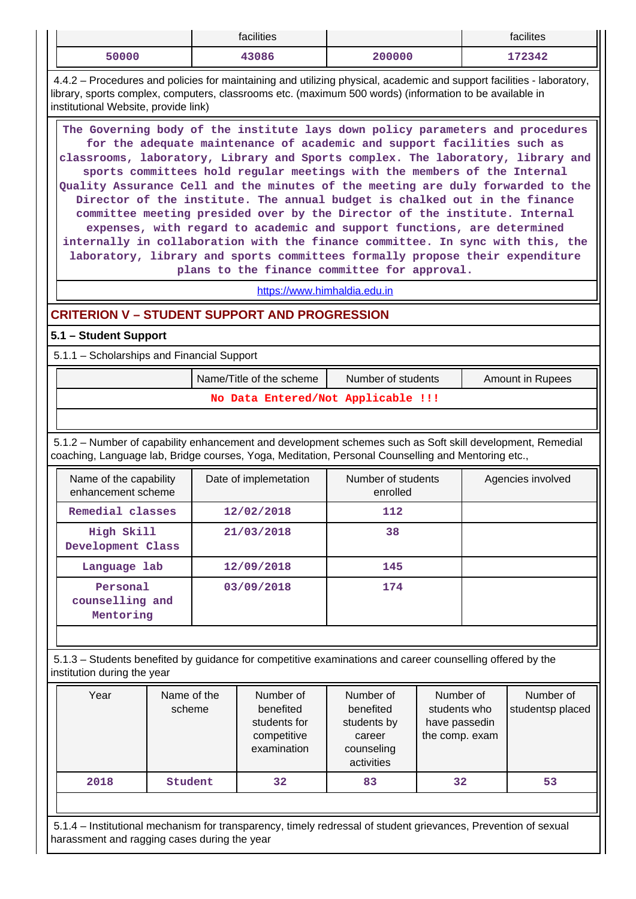|                                                                                                                                                                                                                                                                                                                                                                                                                                                                                                                                                                                                                                                                                                                                                                                                                                                                      |  |  | facilities                                                                                                                                                                                                                       |                                                                                                                               |  |                   | facilites                     |  |  |  |  |
|----------------------------------------------------------------------------------------------------------------------------------------------------------------------------------------------------------------------------------------------------------------------------------------------------------------------------------------------------------------------------------------------------------------------------------------------------------------------------------------------------------------------------------------------------------------------------------------------------------------------------------------------------------------------------------------------------------------------------------------------------------------------------------------------------------------------------------------------------------------------|--|--|----------------------------------------------------------------------------------------------------------------------------------------------------------------------------------------------------------------------------------|-------------------------------------------------------------------------------------------------------------------------------|--|-------------------|-------------------------------|--|--|--|--|
| 50000                                                                                                                                                                                                                                                                                                                                                                                                                                                                                                                                                                                                                                                                                                                                                                                                                                                                |  |  | 43086                                                                                                                                                                                                                            | 200000                                                                                                                        |  |                   | 172342                        |  |  |  |  |
| institutional Website, provide link)                                                                                                                                                                                                                                                                                                                                                                                                                                                                                                                                                                                                                                                                                                                                                                                                                                 |  |  | 4.4.2 – Procedures and policies for maintaining and utilizing physical, academic and support facilities - laboratory,<br>library, sports complex, computers, classrooms etc. (maximum 500 words) (information to be available in |                                                                                                                               |  |                   |                               |  |  |  |  |
| The Governing body of the institute lays down policy parameters and procedures<br>for the adequate maintenance of academic and support facilities such as<br>classrooms, laboratory, Library and Sports complex. The laboratory, library and<br>sports committees hold regular meetings with the members of the Internal<br>Quality Assurance Cell and the minutes of the meeting are duly forwarded to the<br>Director of the institute. The annual budget is chalked out in the finance<br>committee meeting presided over by the Director of the institute. Internal<br>expenses, with regard to academic and support functions, are determined<br>internally in collaboration with the finance committee. In sync with this, the<br>laboratory, library and sports committees formally propose their expenditure<br>plans to the finance committee for approval. |  |  |                                                                                                                                                                                                                                  |                                                                                                                               |  |                   |                               |  |  |  |  |
|                                                                                                                                                                                                                                                                                                                                                                                                                                                                                                                                                                                                                                                                                                                                                                                                                                                                      |  |  | https://www.himhaldia.edu.in                                                                                                                                                                                                     |                                                                                                                               |  |                   |                               |  |  |  |  |
|                                                                                                                                                                                                                                                                                                                                                                                                                                                                                                                                                                                                                                                                                                                                                                                                                                                                      |  |  | <b>CRITERION V - STUDENT SUPPORT AND PROGRESSION</b>                                                                                                                                                                             |                                                                                                                               |  |                   |                               |  |  |  |  |
| 5.1 - Student Support                                                                                                                                                                                                                                                                                                                                                                                                                                                                                                                                                                                                                                                                                                                                                                                                                                                |  |  |                                                                                                                                                                                                                                  |                                                                                                                               |  |                   |                               |  |  |  |  |
| 5.1.1 - Scholarships and Financial Support                                                                                                                                                                                                                                                                                                                                                                                                                                                                                                                                                                                                                                                                                                                                                                                                                           |  |  |                                                                                                                                                                                                                                  |                                                                                                                               |  |                   |                               |  |  |  |  |
|                                                                                                                                                                                                                                                                                                                                                                                                                                                                                                                                                                                                                                                                                                                                                                                                                                                                      |  |  | Name/Title of the scheme                                                                                                                                                                                                         | Number of students                                                                                                            |  |                   | Amount in Rupees              |  |  |  |  |
|                                                                                                                                                                                                                                                                                                                                                                                                                                                                                                                                                                                                                                                                                                                                                                                                                                                                      |  |  | No Data Entered/Not Applicable !!!                                                                                                                                                                                               |                                                                                                                               |  |                   |                               |  |  |  |  |
|                                                                                                                                                                                                                                                                                                                                                                                                                                                                                                                                                                                                                                                                                                                                                                                                                                                                      |  |  |                                                                                                                                                                                                                                  |                                                                                                                               |  |                   |                               |  |  |  |  |
|                                                                                                                                                                                                                                                                                                                                                                                                                                                                                                                                                                                                                                                                                                                                                                                                                                                                      |  |  | 5.1.2 - Number of capability enhancement and development schemes such as Soft skill development, Remedial<br>coaching, Language lab, Bridge courses, Yoga, Meditation, Personal Counselling and Mentoring etc.,                  |                                                                                                                               |  |                   |                               |  |  |  |  |
| Name of the capability<br>enhancement scheme                                                                                                                                                                                                                                                                                                                                                                                                                                                                                                                                                                                                                                                                                                                                                                                                                         |  |  | Date of implemetation                                                                                                                                                                                                            | Number of students<br>enrolled                                                                                                |  | Agencies involved |                               |  |  |  |  |
| Remedial classes                                                                                                                                                                                                                                                                                                                                                                                                                                                                                                                                                                                                                                                                                                                                                                                                                                                     |  |  | 12/02/2018                                                                                                                                                                                                                       | 112                                                                                                                           |  |                   |                               |  |  |  |  |
| High Skill<br>Development Class                                                                                                                                                                                                                                                                                                                                                                                                                                                                                                                                                                                                                                                                                                                                                                                                                                      |  |  | 21/03/2018                                                                                                                                                                                                                       | 38                                                                                                                            |  |                   |                               |  |  |  |  |
| Language lab                                                                                                                                                                                                                                                                                                                                                                                                                                                                                                                                                                                                                                                                                                                                                                                                                                                         |  |  | 12/09/2018                                                                                                                                                                                                                       | 145                                                                                                                           |  |                   |                               |  |  |  |  |
| Personal<br>counselling and<br>Mentoring                                                                                                                                                                                                                                                                                                                                                                                                                                                                                                                                                                                                                                                                                                                                                                                                                             |  |  | 03/09/2018                                                                                                                                                                                                                       | 174                                                                                                                           |  |                   |                               |  |  |  |  |
|                                                                                                                                                                                                                                                                                                                                                                                                                                                                                                                                                                                                                                                                                                                                                                                                                                                                      |  |  |                                                                                                                                                                                                                                  |                                                                                                                               |  |                   |                               |  |  |  |  |
| institution during the year                                                                                                                                                                                                                                                                                                                                                                                                                                                                                                                                                                                                                                                                                                                                                                                                                                          |  |  | 5.1.3 – Students benefited by guidance for competitive examinations and career counselling offered by the                                                                                                                        |                                                                                                                               |  |                   |                               |  |  |  |  |
| Year<br>Name of the<br>scheme                                                                                                                                                                                                                                                                                                                                                                                                                                                                                                                                                                                                                                                                                                                                                                                                                                        |  |  | Number of<br>benefited<br>students for<br>competitive<br>examination                                                                                                                                                             | Number of<br>Number of<br>benefited<br>students who<br>students by<br>have passedin<br>the comp. exam<br>career<br>counseling |  |                   | Number of<br>studentsp placed |  |  |  |  |

 5.1.4 – Institutional mechanism for transparency, timely redressal of student grievances, Prevention of sexual harassment and ragging cases during the year

**2018 Student 32 83 32 53**

activities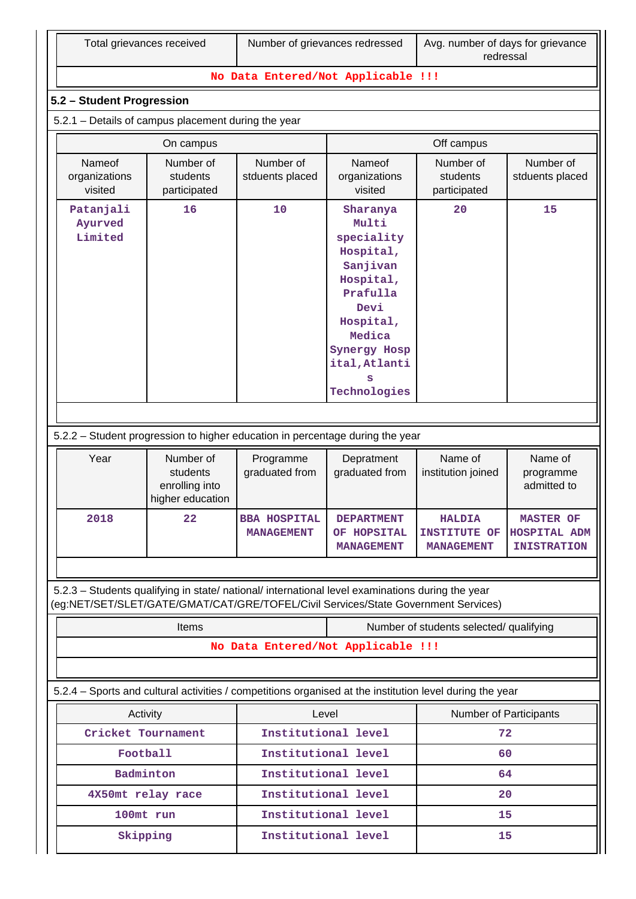#### **No Data Entered/Not Applicable !!!**

## **5.2 – Student Progression**

5.2.1 – Details of campus placement during the year

|                                    | On campus                             |                              | Off campus                                                                                                                                                             |                                       |                              |  |  |
|------------------------------------|---------------------------------------|------------------------------|------------------------------------------------------------------------------------------------------------------------------------------------------------------------|---------------------------------------|------------------------------|--|--|
| Nameof<br>organizations<br>visited | Number of<br>students<br>participated | Number of<br>stduents placed | Nameof<br>organizations<br>visited                                                                                                                                     | Number of<br>students<br>participated | Number of<br>stduents placed |  |  |
| Patanjali<br>Ayurved<br>Limited    | 16                                    | 10                           | Sharanya<br>Multi<br>speciality<br>Hospital,<br>Sanjivan<br>Hospital,<br>Prafulla<br>Devi<br>Hospital,<br>Medica<br>Synergy Hosp<br>ital, Atlanti<br>s<br>Technologies | 20                                    | 15                           |  |  |
|                                    |                                       |                              |                                                                                                                                                                        |                                       |                              |  |  |

## 5.2.2 – Student progression to higher education in percentage during the year

| Year | Number of<br>students<br>enrolling into<br>higher education | Programme<br>graduated from              | Depratment<br>graduated from                          | Name of<br>institution joined                             | Name of<br>programme<br>admitted to                           |
|------|-------------------------------------------------------------|------------------------------------------|-------------------------------------------------------|-----------------------------------------------------------|---------------------------------------------------------------|
| 2018 | 22                                                          | <b>BBA HOSPITAL</b><br><b>MANAGEMENT</b> | <b>DEPARTMENT</b><br>OF HOPSITAL<br><b>MANAGEMENT</b> | <b>HALDIA</b><br><b>INSTITUTE OF</b><br><b>MANAGEMENT</b> | <b>MASTER OF</b><br><b>HOSPITAL ADM</b><br><b>INISTRATION</b> |

 5.2.3 – Students qualifying in state/ national/ international level examinations during the year (eg:NET/SET/SLET/GATE/GMAT/CAT/GRE/TOFEL/Civil Services/State Government Services)

| <b>Items</b>                                                                                             |                                    | Number of students selected/ qualifying |    |  |  |  |  |
|----------------------------------------------------------------------------------------------------------|------------------------------------|-----------------------------------------|----|--|--|--|--|
|                                                                                                          | No Data Entered/Not Applicable !!! |                                         |    |  |  |  |  |
|                                                                                                          |                                    |                                         |    |  |  |  |  |
| 5.2.4 – Sports and cultural activities / competitions organised at the institution level during the year |                                    |                                         |    |  |  |  |  |
| Activity                                                                                                 | Level                              | <b>Number of Participants</b>           |    |  |  |  |  |
| Cricket Tournament                                                                                       | Institutional level                |                                         | 72 |  |  |  |  |
| Football                                                                                                 | Institutional level                |                                         | 60 |  |  |  |  |
| Badminton                                                                                                | Institutional level                |                                         | 64 |  |  |  |  |
| 4X50mt relay race                                                                                        | Institutional level                |                                         | 20 |  |  |  |  |
| 100mt run                                                                                                | Institutional level                |                                         | 15 |  |  |  |  |
| Skipping                                                                                                 | Institutional level                |                                         | 15 |  |  |  |  |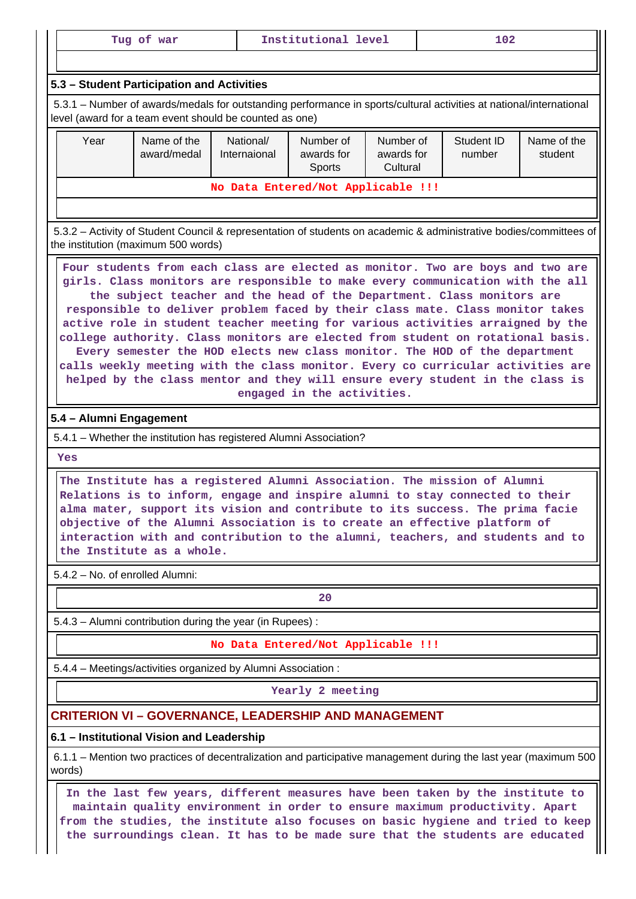|                                                                                                                                                                                                                                                                                                                                                                                                                                                                                                                                                                                | Institutional level<br>102<br>Tug of war                                                                                                                           |  |                                    |  |  |                                                                                |  |  |
|--------------------------------------------------------------------------------------------------------------------------------------------------------------------------------------------------------------------------------------------------------------------------------------------------------------------------------------------------------------------------------------------------------------------------------------------------------------------------------------------------------------------------------------------------------------------------------|--------------------------------------------------------------------------------------------------------------------------------------------------------------------|--|------------------------------------|--|--|--------------------------------------------------------------------------------|--|--|
| 5.3 - Student Participation and Activities                                                                                                                                                                                                                                                                                                                                                                                                                                                                                                                                     |                                                                                                                                                                    |  |                                    |  |  |                                                                                |  |  |
| 5.3.1 – Number of awards/medals for outstanding performance in sports/cultural activities at national/international<br>level (award for a team event should be counted as one)                                                                                                                                                                                                                                                                                                                                                                                                 |                                                                                                                                                                    |  |                                    |  |  |                                                                                |  |  |
| Year                                                                                                                                                                                                                                                                                                                                                                                                                                                                                                                                                                           | Name of the<br>National/<br>Number of<br>Number of<br>Student ID<br>award/medal<br>Internaional<br>awards for<br>awards for<br>number<br>Cultural<br><b>Sports</b> |  |                                    |  |  | Name of the<br>student                                                         |  |  |
|                                                                                                                                                                                                                                                                                                                                                                                                                                                                                                                                                                                |                                                                                                                                                                    |  | No Data Entered/Not Applicable !!! |  |  |                                                                                |  |  |
|                                                                                                                                                                                                                                                                                                                                                                                                                                                                                                                                                                                |                                                                                                                                                                    |  |                                    |  |  |                                                                                |  |  |
| the subject teacher and the head of the Department. Class monitors are<br>responsible to deliver problem faced by their class mate. Class monitor takes<br>active role in student teacher meeting for various activities arraigned by the<br>college authority. Class monitors are elected from student on rotational basis.<br>Every semester the HOD elects new class monitor. The HOD of the department<br>calls weekly meeting with the class monitor. Every co curricular activities are<br>helped by the class mentor and they will ensure every student in the class is |                                                                                                                                                                    |  |                                    |  |  |                                                                                |  |  |
|                                                                                                                                                                                                                                                                                                                                                                                                                                                                                                                                                                                |                                                                                                                                                                    |  | engaged in the activities.         |  |  |                                                                                |  |  |
|                                                                                                                                                                                                                                                                                                                                                                                                                                                                                                                                                                                |                                                                                                                                                                    |  |                                    |  |  |                                                                                |  |  |
|                                                                                                                                                                                                                                                                                                                                                                                                                                                                                                                                                                                | 5.4 - Alumni Engagement                                                                                                                                            |  |                                    |  |  |                                                                                |  |  |
|                                                                                                                                                                                                                                                                                                                                                                                                                                                                                                                                                                                | 5.4.1 - Whether the institution has registered Alumni Association?                                                                                                 |  |                                    |  |  |                                                                                |  |  |
| <b>Yes</b>                                                                                                                                                                                                                                                                                                                                                                                                                                                                                                                                                                     | The Institute has a registered Alumni Association. The mission of Alumni                                                                                           |  |                                    |  |  | girls. Class monitors are responsible to make every communication with the all |  |  |

5.4.2 – No. of enrolled Alumni:

**the Institute as a whole.**

**20**

**interaction with and contribution to the alumni, teachers, and students and to**

5.4.3 – Alumni contribution during the year (in Rupees) :

**No Data Entered/Not Applicable !!!**

5.4.4 – Meetings/activities organized by Alumni Association :

**Yearly 2 meeting**

# **CRITERION VI – GOVERNANCE, LEADERSHIP AND MANAGEMENT**

#### **6.1 – Institutional Vision and Leadership**

 6.1.1 – Mention two practices of decentralization and participative management during the last year (maximum 500 words)

 **In the last few years, different measures have been taken by the institute to maintain quality environment in order to ensure maximum productivity. Apart from the studies, the institute also focuses on basic hygiene and tried to keep the surroundings clean. It has to be made sure that the students are educated**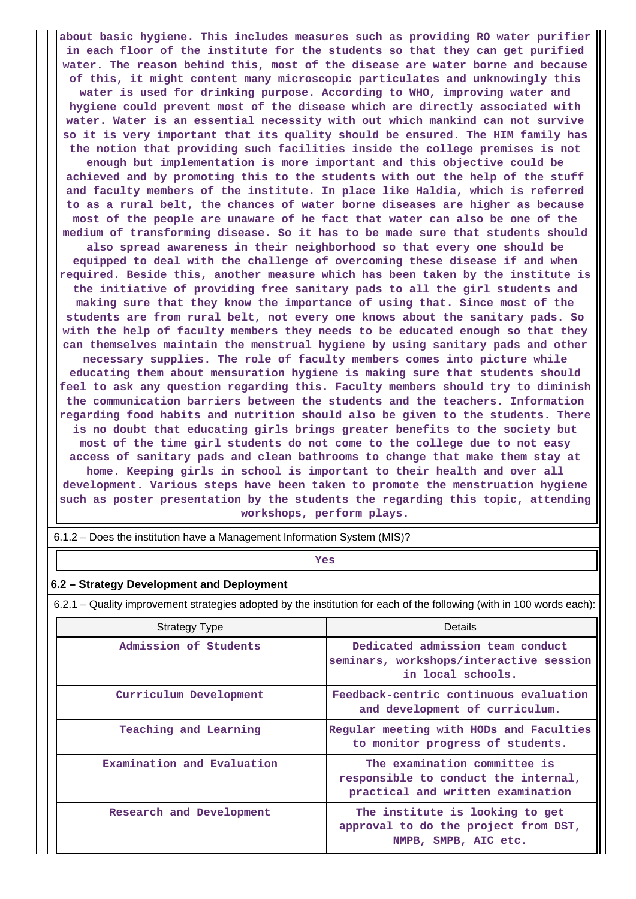**about basic hygiene. This includes measures such as providing RO water purifier in each floor of the institute for the students so that they can get purified water. The reason behind this, most of the disease are water borne and because of this, it might content many microscopic particulates and unknowingly this water is used for drinking purpose. According to WHO, improving water and hygiene could prevent most of the disease which are directly associated with water. Water is an essential necessity with out which mankind can not survive so it is very important that its quality should be ensured. The HIM family has the notion that providing such facilities inside the college premises is not enough but implementation is more important and this objective could be achieved and by promoting this to the students with out the help of the stuff and faculty members of the institute. In place like Haldia, which is referred to as a rural belt, the chances of water borne diseases are higher as because most of the people are unaware of he fact that water can also be one of the medium of transforming disease. So it has to be made sure that students should also spread awareness in their neighborhood so that every one should be equipped to deal with the challenge of overcoming these disease if and when required. Beside this, another measure which has been taken by the institute is the initiative of providing free sanitary pads to all the girl students and making sure that they know the importance of using that. Since most of the students are from rural belt, not every one knows about the sanitary pads. So with the help of faculty members they needs to be educated enough so that they can themselves maintain the menstrual hygiene by using sanitary pads and other necessary supplies. The role of faculty members comes into picture while educating them about mensuration hygiene is making sure that students should feel to ask any question regarding this. Faculty members should try to diminish the communication barriers between the students and the teachers. Information regarding food habits and nutrition should also be given to the students. There is no doubt that educating girls brings greater benefits to the society but most of the time girl students do not come to the college due to not easy access of sanitary pads and clean bathrooms to change that make them stay at home. Keeping girls in school is important to their health and over all development. Various steps have been taken to promote the menstruation hygiene such as poster presentation by the students the regarding this topic, attending workshops, perform plays.**

6.1.2 – Does the institution have a Management Information System (MIS)?

*Yes* 

#### **6.2 – Strategy Development and Deployment**

6.2.1 – Quality improvement strategies adopted by the institution for each of the following (with in 100 words each):

| <b>Strategy Type</b>       | <b>Details</b>                                                                                            |
|----------------------------|-----------------------------------------------------------------------------------------------------------|
| Admission of Students      | Dedicated admission team conduct<br>seminars, workshops/interactive session<br>in local schools.          |
| Curriculum Development     | Feedback-centric continuous evaluation<br>and development of curriculum.                                  |
| Teaching and Learning      | Regular meeting with HODs and Faculties<br>to monitor progress of students.                               |
| Examination and Evaluation | The examination committee is<br>responsible to conduct the internal,<br>practical and written examination |
| Research and Development   | The institute is looking to get<br>approval to do the project from DST,<br>NMPB, SMPB, AIC etc.           |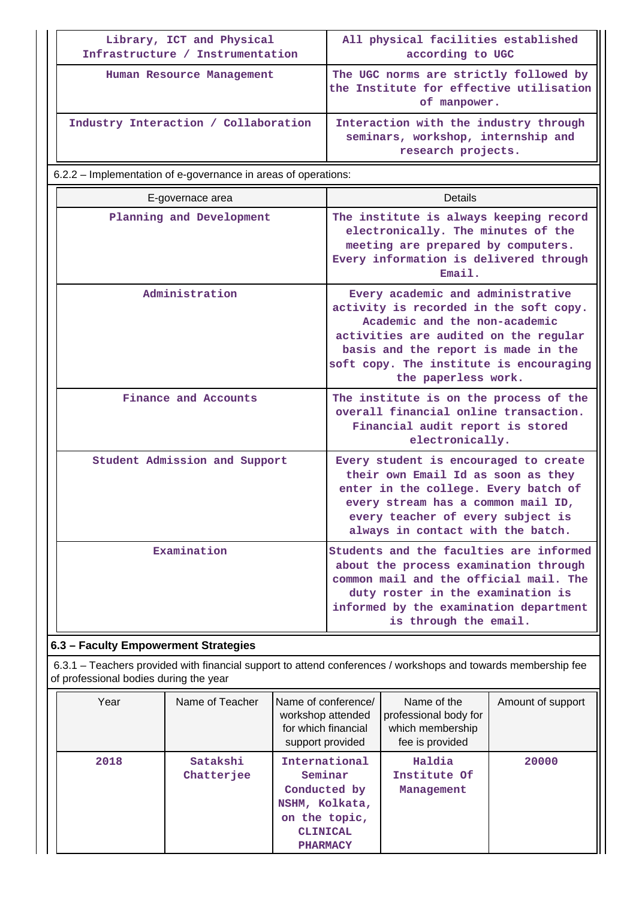| Library, ICT and Physical<br>Infrastructure / Instrumentation  | All physical facilities established<br>according to UGC                                                                                                                                                                                                        |  |  |  |  |
|----------------------------------------------------------------|----------------------------------------------------------------------------------------------------------------------------------------------------------------------------------------------------------------------------------------------------------------|--|--|--|--|
| Human Resource Management                                      | The UGC norms are strictly followed by<br>the Institute for effective utilisation<br>of manpower.                                                                                                                                                              |  |  |  |  |
| Industry Interaction / Collaboration                           | Interaction with the industry through<br>seminars, workshop, internship and<br>research projects.                                                                                                                                                              |  |  |  |  |
| 6.2.2 – Implementation of e-governance in areas of operations: |                                                                                                                                                                                                                                                                |  |  |  |  |
| E-governace area                                               | <b>Details</b>                                                                                                                                                                                                                                                 |  |  |  |  |
| Planning and Development                                       | The institute is always keeping record<br>electronically. The minutes of the<br>meeting are prepared by computers.<br>Every information is delivered through<br>Email.                                                                                         |  |  |  |  |
| Administration                                                 | Every academic and administrative<br>activity is recorded in the soft copy.<br>Academic and the non-academic<br>activities are audited on the regular<br>basis and the report is made in the<br>soft copy. The institute is encouraging<br>the paperless work. |  |  |  |  |
| Finance and Accounts                                           | The institute is on the process of the<br>overall financial online transaction.<br>Financial audit report is stored<br>electronically.                                                                                                                         |  |  |  |  |
| Student Admission and Support                                  | Every student is encouraged to create<br>their own Email Id as soon as they<br>enter in the college. Every batch of<br>every stream has a common mail ID,<br>every teacher of every subject is<br>always in contact with the batch.                            |  |  |  |  |
| Examination                                                    | Students and the faculties are informed<br>about the process examination through<br>common mail and the official mail. The<br>duty roster in the examination is<br>informed by the examination department<br>is through the email.                             |  |  |  |  |

 6.3.1 – Teachers provided with financial support to attend conferences / workshops and towards membership fee of professional bodies during the year

| Year | Name of Teacher        | Name of conference/<br>workshop attended<br>for which financial<br>support provided                               | Name of the<br>professional body for<br>which membership<br>fee is provided | Amount of support |
|------|------------------------|-------------------------------------------------------------------------------------------------------------------|-----------------------------------------------------------------------------|-------------------|
| 2018 | Satakshi<br>Chatterjee | International<br>Seminar<br>Conducted by<br>NSHM, Kolkata,<br>on the topic,<br><b>CLINICAL</b><br><b>PHARMACY</b> | Haldia<br>Institute Of<br>Management                                        | 20000             |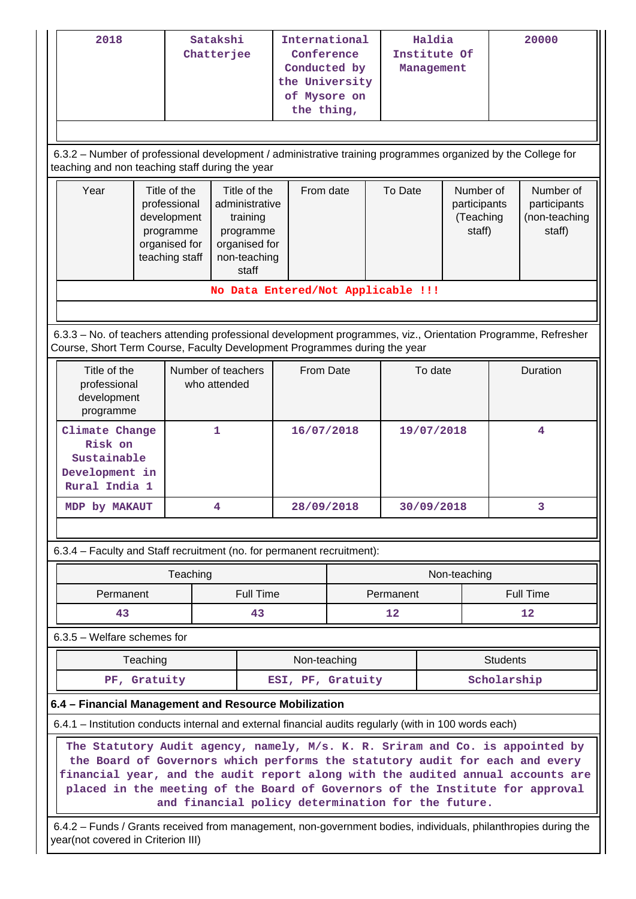| 2018                                                                                                          | International<br>Satakshi<br>Chatterjee<br>Conference<br>Conducted by<br>the University<br>of Mysore on<br>the thing,<br>6.3.2 - Number of professional development / administrative training programmes organized by the College for                                                                                                                                                                                                                                                                                                                     |          |   | Haldia<br>Institute Of<br>Management |  |                                                             | 20000        |          |                                                      |    |
|---------------------------------------------------------------------------------------------------------------|-----------------------------------------------------------------------------------------------------------------------------------------------------------------------------------------------------------------------------------------------------------------------------------------------------------------------------------------------------------------------------------------------------------------------------------------------------------------------------------------------------------------------------------------------------------|----------|---|--------------------------------------|--|-------------------------------------------------------------|--------------|----------|------------------------------------------------------|----|
| Year                                                                                                          | teaching and non teaching staff during the year<br>Title of the<br>Title of the<br>administrative<br>professional<br>development<br>training<br>programme<br>programme<br>organised for<br>organised for<br>teaching staff<br>non-teaching<br>staff                                                                                                                                                                                                                                                                                                       |          |   | From date                            |  | To Date<br>Number of<br>participants<br>(Teaching<br>staff) |              |          | Number of<br>participants<br>(non-teaching<br>staff) |    |
|                                                                                                               |                                                                                                                                                                                                                                                                                                                                                                                                                                                                                                                                                           |          |   | No Data Entered/Not Applicable !!!   |  |                                                             |              |          |                                                      |    |
| 6.3.3 - No. of teachers attending professional development programmes, viz., Orientation Programme, Refresher |                                                                                                                                                                                                                                                                                                                                                                                                                                                                                                                                                           |          |   |                                      |  |                                                             |              |          |                                                      |    |
| Course, Short Term Course, Faculty Development Programmes during the year                                     |                                                                                                                                                                                                                                                                                                                                                                                                                                                                                                                                                           |          |   |                                      |  |                                                             |              |          |                                                      |    |
|                                                                                                               | Title of the<br>Number of teachers<br>professional<br>who attended<br>development<br>programme                                                                                                                                                                                                                                                                                                                                                                                                                                                            |          |   | From Date                            |  | To date                                                     |              | Duration |                                                      |    |
|                                                                                                               | 1<br>Climate Change<br>Risk on<br>Sustainable<br>Development in<br>Rural India 1                                                                                                                                                                                                                                                                                                                                                                                                                                                                          |          |   | 16/07/2018                           |  | 19/07/2018                                                  |              |          | 4                                                    |    |
| MDP by MAKAUT                                                                                                 |                                                                                                                                                                                                                                                                                                                                                                                                                                                                                                                                                           |          | 4 | 28/09/2018                           |  |                                                             | 30/09/2018   |          |                                                      | 3  |
|                                                                                                               |                                                                                                                                                                                                                                                                                                                                                                                                                                                                                                                                                           |          |   |                                      |  |                                                             |              |          |                                                      |    |
| 6.3.4 - Faculty and Staff recruitment (no. for permanent recruitment):                                        |                                                                                                                                                                                                                                                                                                                                                                                                                                                                                                                                                           |          |   |                                      |  |                                                             |              |          |                                                      |    |
|                                                                                                               |                                                                                                                                                                                                                                                                                                                                                                                                                                                                                                                                                           | Teaching |   |                                      |  |                                                             | Non-teaching |          |                                                      |    |
| Permanent                                                                                                     |                                                                                                                                                                                                                                                                                                                                                                                                                                                                                                                                                           |          |   | <b>Full Time</b>                     |  | Permanent                                                   |              |          | <b>Full Time</b>                                     |    |
| 43                                                                                                            |                                                                                                                                                                                                                                                                                                                                                                                                                                                                                                                                                           |          |   | 43                                   |  | 12                                                          |              |          |                                                      | 12 |
| $6.3.5$ – Welfare schemes for                                                                                 |                                                                                                                                                                                                                                                                                                                                                                                                                                                                                                                                                           |          |   |                                      |  |                                                             |              |          |                                                      |    |
|                                                                                                               | Teaching                                                                                                                                                                                                                                                                                                                                                                                                                                                                                                                                                  |          |   | Non-teaching                         |  |                                                             |              |          | <b>Students</b>                                      |    |
|                                                                                                               | PF, Gratuity                                                                                                                                                                                                                                                                                                                                                                                                                                                                                                                                              |          |   | ESI, PF, Gratuity                    |  |                                                             |              |          | Scholarship                                          |    |
|                                                                                                               |                                                                                                                                                                                                                                                                                                                                                                                                                                                                                                                                                           |          |   |                                      |  |                                                             |              |          |                                                      |    |
|                                                                                                               | 6.4 - Financial Management and Resource Mobilization<br>6.4.1 – Institution conducts internal and external financial audits regularly (with in 100 words each)<br>The Statutory Audit agency, namely, M/s. K. R. Sriram and Co. is appointed by<br>the Board of Governors which performs the statutory audit for each and every<br>financial year, and the audit report along with the audited annual accounts are<br>placed in the meeting of the Board of Governors of the Institute for approval<br>and financial policy determination for the future. |          |   |                                      |  |                                                             |              |          |                                                      |    |

 6.4.2 – Funds / Grants received from management, non-government bodies, individuals, philanthropies during the year(not covered in Criterion III)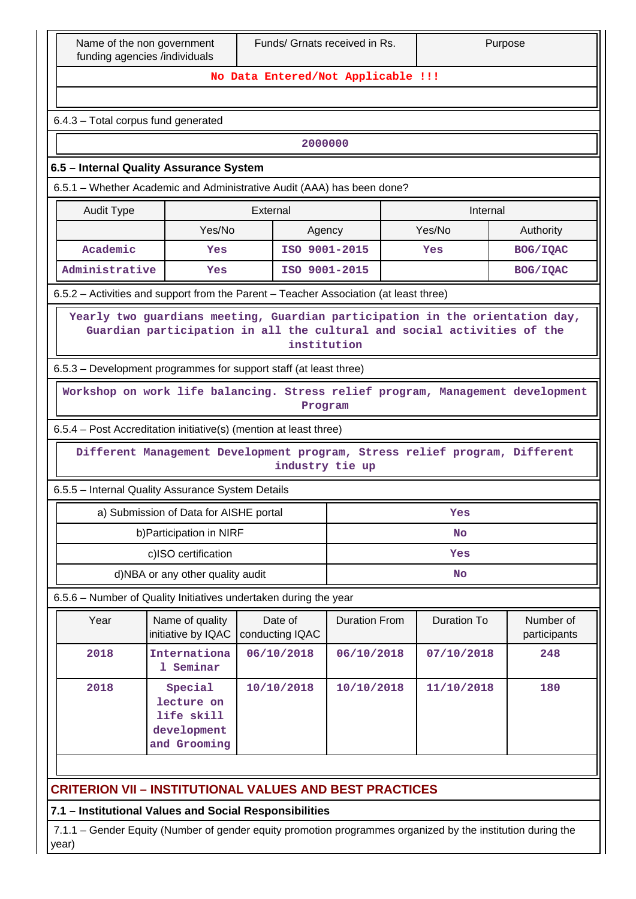| Funds/ Grnats received in Rs.<br>Purpose<br>Name of the non government<br>funding agencies /individuals |                                                                                                                                                                        |                                    |                      |     |                    |                           |  |  |
|---------------------------------------------------------------------------------------------------------|------------------------------------------------------------------------------------------------------------------------------------------------------------------------|------------------------------------|----------------------|-----|--------------------|---------------------------|--|--|
|                                                                                                         |                                                                                                                                                                        | No Data Entered/Not Applicable !!! |                      |     |                    |                           |  |  |
|                                                                                                         |                                                                                                                                                                        |                                    |                      |     |                    |                           |  |  |
| 6.4.3 - Total corpus fund generated                                                                     |                                                                                                                                                                        |                                    |                      |     |                    |                           |  |  |
|                                                                                                         | 2000000                                                                                                                                                                |                                    |                      |     |                    |                           |  |  |
| 6.5 - Internal Quality Assurance System                                                                 |                                                                                                                                                                        |                                    |                      |     |                    |                           |  |  |
| 6.5.1 - Whether Academic and Administrative Audit (AAA) has been done?                                  |                                                                                                                                                                        |                                    |                      |     |                    |                           |  |  |
| <b>Audit Type</b><br>External<br>Internal                                                               |                                                                                                                                                                        |                                    |                      |     |                    |                           |  |  |
|                                                                                                         | Yes/No                                                                                                                                                                 |                                    | Agency               |     | Yes/No             | Authority                 |  |  |
| Academic                                                                                                | Yes                                                                                                                                                                    |                                    | ISO 9001-2015        |     | Yes                | BOG/IQAC                  |  |  |
| Administrative                                                                                          | Yes                                                                                                                                                                    |                                    | ISO 9001-2015        |     |                    | BOG/IQAC                  |  |  |
| 6.5.2 – Activities and support from the Parent – Teacher Association (at least three)                   |                                                                                                                                                                        |                                    |                      |     |                    |                           |  |  |
|                                                                                                         | Yearly two guardians meeting, Guardian participation in the orientation day,<br>Guardian participation in all the cultural and social activities of the<br>institution |                                    |                      |     |                    |                           |  |  |
| 6.5.3 – Development programmes for support staff (at least three)                                       |                                                                                                                                                                        |                                    |                      |     |                    |                           |  |  |
|                                                                                                         | Workshop on work life balancing. Stress relief program, Management development                                                                                         |                                    | Program              |     |                    |                           |  |  |
| 6.5.4 - Post Accreditation initiative(s) (mention at least three)                                       |                                                                                                                                                                        |                                    |                      |     |                    |                           |  |  |
|                                                                                                         | Different Management Development program, Stress relief program, Different                                                                                             |                                    | industry tie up      |     |                    |                           |  |  |
| 6.5.5 - Internal Quality Assurance System Details                                                       |                                                                                                                                                                        |                                    |                      |     |                    |                           |  |  |
|                                                                                                         | a) Submission of Data for AISHE portal                                                                                                                                 |                                    |                      |     | Yes                |                           |  |  |
|                                                                                                         | b) Participation in NIRF                                                                                                                                               |                                    |                      |     | <b>No</b>          |                           |  |  |
|                                                                                                         | c)ISO certification                                                                                                                                                    |                                    |                      | Yes |                    |                           |  |  |
|                                                                                                         | d)NBA or any other quality audit                                                                                                                                       |                                    |                      |     | <b>No</b>          |                           |  |  |
| 6.5.6 - Number of Quality Initiatives undertaken during the year                                        |                                                                                                                                                                        |                                    |                      |     |                    |                           |  |  |
| Year                                                                                                    | Name of quality<br>initiative by IQAC                                                                                                                                  | Date of<br>conducting IQAC         | <b>Duration From</b> |     | <b>Duration To</b> | Number of<br>participants |  |  |
| 2018                                                                                                    | Internationa<br>1 Seminar                                                                                                                                              | 06/10/2018                         | 06/10/2018           |     | 07/10/2018         | 248                       |  |  |
| 2018                                                                                                    | 10/10/2018<br>10/10/2018<br>11/10/2018<br>180<br>Special<br>lecture on<br>life skill<br>development<br>and Grooming                                                    |                                    |                      |     |                    |                           |  |  |
| <b>CRITERION VII - INSTITUTIONAL VALUES AND BEST PRACTICES</b>                                          |                                                                                                                                                                        |                                    |                      |     |                    |                           |  |  |
| 7.1 - Institutional Values and Social Responsibilities                                                  |                                                                                                                                                                        |                                    |                      |     |                    |                           |  |  |

 7.1.1 – Gender Equity (Number of gender equity promotion programmes organized by the institution during the year)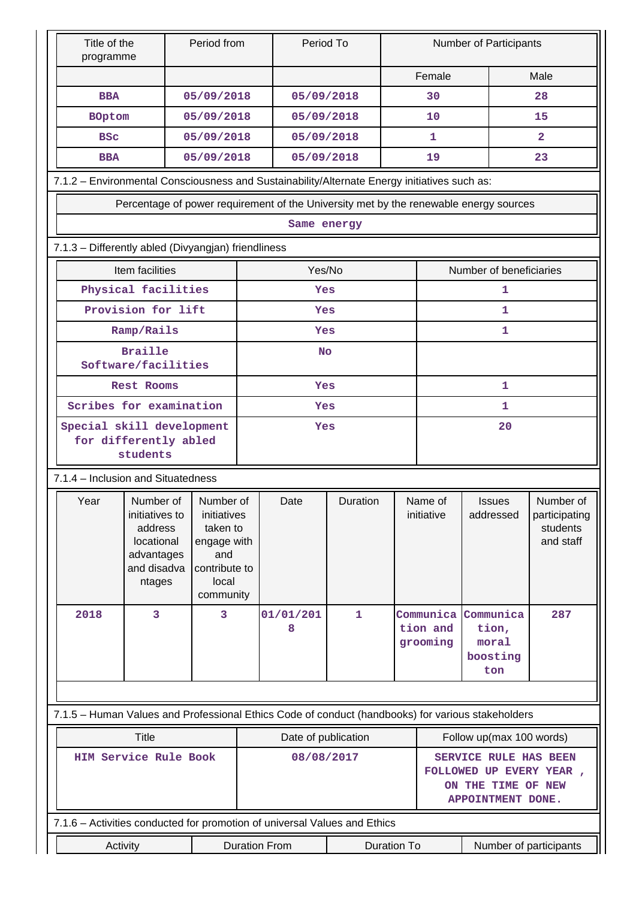| Title of the<br>programme                                                                         |                                                                                             | Period from                                                                                       |                      | Period To           |                  |                                   |                                                                                                     | Number of Participants                                                                |                                                     |  |
|---------------------------------------------------------------------------------------------------|---------------------------------------------------------------------------------------------|---------------------------------------------------------------------------------------------------|----------------------|---------------------|------------------|-----------------------------------|-----------------------------------------------------------------------------------------------------|---------------------------------------------------------------------------------------|-----------------------------------------------------|--|
|                                                                                                   |                                                                                             |                                                                                                   |                      |                     |                  |                                   | Female                                                                                              |                                                                                       | Male                                                |  |
| <b>BBA</b>                                                                                        |                                                                                             | 05/09/2018                                                                                        |                      | 05/09/2018          |                  |                                   | 30                                                                                                  |                                                                                       | 28                                                  |  |
| <b>BOptom</b>                                                                                     |                                                                                             | 05/09/2018                                                                                        |                      | 05/09/2018          |                  |                                   | 10                                                                                                  |                                                                                       | 15                                                  |  |
| <b>BSC</b>                                                                                        |                                                                                             | 05/09/2018                                                                                        |                      | 05/09/2018          |                  |                                   | 1                                                                                                   |                                                                                       | $\overline{2}$                                      |  |
| <b>BBA</b>                                                                                        |                                                                                             | 05/09/2018                                                                                        |                      |                     | 05/09/2018<br>19 |                                   |                                                                                                     |                                                                                       | 23                                                  |  |
| 7.1.2 - Environmental Consciousness and Sustainability/Alternate Energy initiatives such as:      |                                                                                             |                                                                                                   |                      |                     |                  |                                   |                                                                                                     |                                                                                       |                                                     |  |
|                                                                                                   |                                                                                             |                                                                                                   |                      |                     |                  |                                   |                                                                                                     | Percentage of power requirement of the University met by the renewable energy sources |                                                     |  |
|                                                                                                   |                                                                                             |                                                                                                   |                      | Same energy         |                  |                                   |                                                                                                     |                                                                                       |                                                     |  |
|                                                                                                   | 7.1.3 - Differently abled (Divyangjan) friendliness                                         |                                                                                                   |                      |                     |                  |                                   |                                                                                                     |                                                                                       |                                                     |  |
| Item facilities<br>Yes/No<br>Number of beneficiaries                                              |                                                                                             |                                                                                                   |                      |                     |                  |                                   |                                                                                                     |                                                                                       |                                                     |  |
|                                                                                                   | Physical facilities                                                                         |                                                                                                   |                      | Yes                 |                  |                                   |                                                                                                     | 1                                                                                     |                                                     |  |
|                                                                                                   | Provision for lift                                                                          |                                                                                                   |                      | Yes                 |                  |                                   |                                                                                                     | 1                                                                                     |                                                     |  |
|                                                                                                   | Ramp/Rails                                                                                  |                                                                                                   |                      | Yes                 |                  |                                   |                                                                                                     | 1                                                                                     |                                                     |  |
|                                                                                                   | <b>Braille</b><br>No<br>Software/facilities                                                 |                                                                                                   |                      |                     |                  |                                   |                                                                                                     |                                                                                       |                                                     |  |
|                                                                                                   | <b>Rest Rooms</b>                                                                           |                                                                                                   |                      | Yes                 |                  | 1                                 |                                                                                                     |                                                                                       |                                                     |  |
|                                                                                                   | Scribes for examination                                                                     |                                                                                                   | Yes                  |                     |                  |                                   | 1                                                                                                   |                                                                                       |                                                     |  |
|                                                                                                   | Special skill development<br>for differently abled<br>students                              |                                                                                                   |                      | Yes                 |                  |                                   | 20                                                                                                  |                                                                                       |                                                     |  |
| 7.1.4 - Inclusion and Situatedness                                                                |                                                                                             |                                                                                                   |                      |                     |                  |                                   |                                                                                                     |                                                                                       |                                                     |  |
| Year                                                                                              | Number of<br>initiatives to<br>address<br>locational<br>advantages<br>and disadva<br>ntages | Number of<br>initiatives<br>taken to<br>engage with<br>and<br>contribute to<br>local<br>community |                      | Date                | Duration         | Name of<br>initiative             |                                                                                                     | <b>Issues</b><br>addressed                                                            | Number of<br>participating<br>students<br>and staff |  |
| 2018                                                                                              | 3                                                                                           | 3                                                                                                 |                      | 01/01/201<br>8      | 1                | Communica<br>tion and<br>grooming |                                                                                                     | Communica<br>tion,<br>moral<br>boosting<br>ton                                        | 287                                                 |  |
|                                                                                                   |                                                                                             |                                                                                                   |                      |                     |                  |                                   |                                                                                                     |                                                                                       |                                                     |  |
| 7.1.5 - Human Values and Professional Ethics Code of conduct (handbooks) for various stakeholders |                                                                                             |                                                                                                   |                      |                     |                  |                                   |                                                                                                     |                                                                                       |                                                     |  |
|                                                                                                   | <b>Title</b>                                                                                |                                                                                                   |                      | Date of publication |                  |                                   |                                                                                                     | Follow up(max 100 words)                                                              |                                                     |  |
|                                                                                                   | HIM Service Rule Book                                                                       |                                                                                                   |                      | 08/08/2017          |                  |                                   | <b>SERVICE RULE HAS BEEN</b><br>FOLLOWED UP EVERY YEAR ,<br>ON THE TIME OF NEW<br>APPOINTMENT DONE. |                                                                                       |                                                     |  |
| 7.1.6 - Activities conducted for promotion of universal Values and Ethics                         |                                                                                             |                                                                                                   |                      |                     |                  |                                   |                                                                                                     |                                                                                       |                                                     |  |
|                                                                                                   | Activity                                                                                    |                                                                                                   | <b>Duration From</b> |                     |                  | <b>Duration To</b>                | Number of participants                                                                              |                                                                                       |                                                     |  |